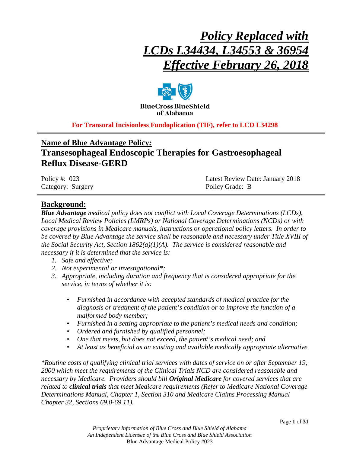# *Policy Replaced with LCDs L34434, L34553 & 36954 Effective February 26, 2018*



**BlueCross BlueShield** of Alabama

**For Transoral Incisionless Fundoplication (TIF), refer to LCD L34298**

# **Name of Blue Advantage Policy***:*

# **Transesophageal Endoscopic Therapies for Gastroesophageal Reflux Disease-GERD**

| Policy #: $023$   | Latest Review Date: January 2018 |
|-------------------|----------------------------------|
| Category: Surgery | Policy Grade: B                  |

# **Background:**

*Blue Advantage medical policy does not conflict with Local Coverage Determinations (LCDs), Local Medical Review Policies (LMRPs) or National Coverage Determinations (NCDs) or with coverage provisions in Medicare manuals, instructions or operational policy letters. In order to be covered by Blue Advantage the service shall be reasonable and necessary under Title XVIII of the Social Security Act, Section 1862(a)(1)(A). The service is considered reasonable and necessary if it is determined that the service is:*

- *1. Safe and effective;*
- *2. Not experimental or investigational\*;*
- *3. Appropriate, including duration and frequency that is considered appropriate for the service, in terms of whether it is:*
	- *Furnished in accordance with accepted standards of medical practice for the diagnosis or treatment of the patient's condition or to improve the function of a malformed body member;*
	- *Furnished in a setting appropriate to the patient's medical needs and condition;*
	- *Ordered and furnished by qualified personnel;*
	- *One that meets, but does not exceed, the patient's medical need; and*
	- *At least as beneficial as an existing and available medically appropriate alternative*

*\*Routine costs of qualifying clinical trial services with dates of service on or after September 19, 2000 which meet the requirements of the Clinical Trials NCD are considered reasonable and necessary by Medicare. Providers should bill Original Medicare for covered services that are related to clinical trials that meet Medicare requirements (Refer to Medicare National Coverage Determinations Manual, Chapter 1, Section 310 and Medicare Claims Processing Manual Chapter 32, Sections 69.0-69.11).*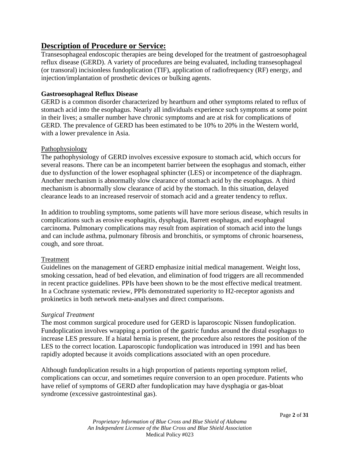# **Description of Procedure or Service:**

Transesophageal endoscopic therapies are being developed for the treatment of gastroesophageal reflux disease (GERD). A variety of procedures are being evaluated, including transesophageal (or transoral) incisionless fundoplication (TIF), application of radiofrequency (RF) energy, and injection/implantation of prosthetic devices or bulking agents.

# **Gastroesophageal Reflux Disease**

GERD is a common disorder characterized by heartburn and other symptoms related to reflux of stomach acid into the esophagus. Nearly all individuals experience such symptoms at some point in their lives; a smaller number have chronic symptoms and are at risk for complications of GERD. The prevalence of GERD has been estimated to be 10% to 20% in the Western world, with a lower prevalence in Asia.

### Pathophysiology

The pathophysiology of GERD involves excessive exposure to stomach acid, which occurs for several reasons. There can be an incompetent barrier between the esophagus and stomach, either due to dysfunction of the lower esophageal sphincter (LES) or incompetence of the diaphragm. Another mechanism is abnormally slow clearance of stomach acid by the esophagus. A third mechanism is abnormally slow clearance of acid by the stomach. In this situation, delayed clearance leads to an increased reservoir of stomach acid and a greater tendency to reflux.

In addition to troubling symptoms, some patients will have more serious disease, which results in complications such as erosive esophagitis, dysphagia, Barrett esophagus, and esophageal carcinoma. Pulmonary complications may result from aspiration of stomach acid into the lungs and can include asthma, pulmonary fibrosis and bronchitis, or symptoms of chronic hoarseness, cough, and sore throat.

# Treatment

Guidelines on the management of GERD emphasize initial medical management. Weight loss, smoking cessation, head of bed elevation, and elimination of food triggers are all recommended in recent practice guidelines. PPIs have been shown to be the most effective medical treatment. In a Cochrane systematic review, PPIs demonstrated superiority to H2-receptor agonists and prokinetics in both network meta-analyses and direct comparisons.

# *Surgical Treatment*

The most common surgical procedure used for GERD is laparoscopic Nissen fundoplication. Fundoplication involves wrapping a portion of the gastric fundus around the distal esophagus to increase LES pressure. If a hiatal hernia is present, the procedure also restores the position of the LES to the correct location. Laparoscopic fundoplication was introduced in 1991 and has been rapidly adopted because it avoids complications associated with an open procedure.

Although fundoplication results in a high proportion of patients reporting symptom relief, complications can occur, and sometimes require conversion to an open procedure. Patients who have relief of symptoms of GERD after fundoplication may have dysphagia or gas-bloat syndrome (excessive gastrointestinal gas).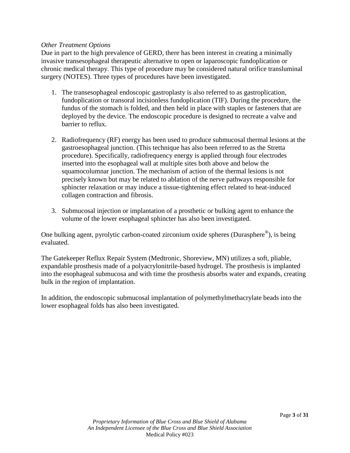# *Other Treatment Options*

Due in part to the high prevalence of GERD, there has been interest in creating a minimally invasive transesophageal therapeutic alternative to open or laparoscopic fundoplication or chronic medical therapy. This type of procedure may be considered natural orifice transluminal surgery (NOTES). Three types of procedures have been investigated.

- 1. The transesophageal endoscopic gastroplasty is also referred to as gastroplication, fundoplication or transoral incisionless fundoplication (TIF). During the procedure, the fundus of the stomach is folded, and then held in place with staples or fasteners that are deployed by the device. The endoscopic procedure is designed to recreate a valve and barrier to reflux.
- 2. Radiofrequency (RF) energy has been used to produce submucosal thermal lesions at the gastroesophageal junction. (This technique has also been referred to as the Stretta procedure). Specifically, radiofrequency energy is applied through four electrodes inserted into the esophageal wall at multiple sites both above and below the squamocolumnar junction. The mechanism of action of the thermal lesions is not precisely known but may be related to ablation of the nerve pathways responsible for sphincter relaxation or may induce a tissue-tightening effect related to heat-induced collagen contraction and fibrosis.
- 3. Submucosal injection or implantation of a prosthetic or bulking agent to enhance the volume of the lower esophageal sphincter has also been investigated.

One bulking agent, pyrolytic carbon-coated zirconium oxide spheres (Durasphere®), is being evaluated.

The Gatekeeper Reflux Repair System (Medtronic, Shoreview, MN) utilizes a soft, pliable, expandable prosthesis made of a polyacrylonitrile-based hydrogel. The prosthesis is implanted into the esophageal submucosa and with time the prosthesis absorbs water and expands, creating bulk in the region of implantation.

In addition, the endoscopic submucosal implantation of polymethylmethacrylate beads into the lower esophageal folds has also been investigated.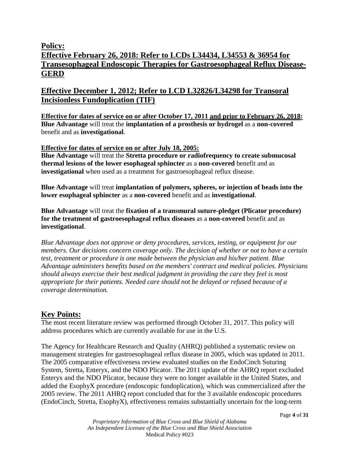# **Policy:**

# **Effective February 26, 2018: Refer to LCDs L34434, L34553 & 36954 for Transesophageal Endoscopic Therapies for Gastroesophageal Reflux Disease-GERD**

# **Effective December 1, 2012; Refer to LCD L32826/L34298 for Transoral Incisionless Fundoplication (TIF)**

**Effective for dates of service on or after October 17, 2011 and prior to February 26, 2018: Blue Advantage** will treat the **implantation of a prosthesis or hydrogel** as a **non-covered** benefit and as **investigational**.

# **Effective for dates of service on or after July 18, 2005:**

**Blue Advantage** will treat the **Stretta procedure or radiofrequency to create submucosal thermal lesions of the lower esophageal sphincter** as a **non-covered** benefit and as **investigational** when used as a treatment for gastroesophageal reflux disease.

**Blue Advantage** will treat **implantation of polymers, spheres, or injection of beads into the lower esophageal sphincter** as a **non-covered** benefit and as **investigational**.

**Blue Advantage** will treat the **fixation of a transmural suture-pledget (Plicator procedure) for the treatment of gastroesophageal reflux diseases** as a **non-covered** benefit and as **investigational**.

*Blue Advantage does not approve or deny procedures, services, testing, or equipment for our members. Our decisions concern coverage only. The decision of whether or not to have a certain test, treatment or procedure is one made between the physician and his/her patient. Blue Advantage administers benefits based on the members' contract and medical policies. Physicians should always exercise their best medical judgment in providing the care they feel is most appropriate for their patients. Needed care should not be delayed or refused because of a coverage determination.*

# **Key Points:**

The most recent literature review was performed through October 31, 2017. This policy will address procedures which are currently available for use in the U.S.

The Agency for Healthcare Research and Quality (AHRQ) published a systematic review on management strategies for gastroesophageal reflux disease in 2005, which was updated in 2011. The 2005 comparative effectiveness review evaluated studies on the EndoCinch Suturing System, Stretta, Enteryx, and the NDO Plicator. The 2011 update of the AHRQ report excluded Enteryx and the NDO Plicator, because they were no longer available in the United States, and added the EsophyX procedure (endoscopic fundoplication), which was commercialized after the 2005 review. The 2011 AHRQ report concluded that for the 3 available endoscopic procedures (EndoCinch, Stretta, EsophyX), effectiveness remains substantially uncertain for the long-term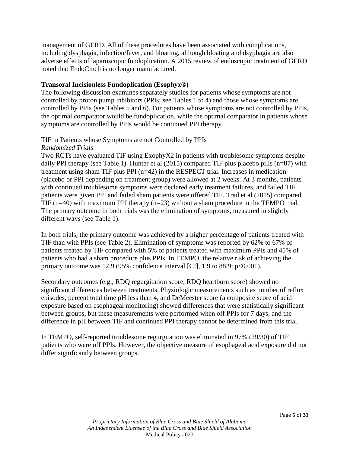management of GERD. All of these procedures have been associated with complications, including dysphagia, infection/fever, and bloating, although bloating and dsyphagia are also adverse effects of laparoscopic fundoplication. A 2015 review of endoscopic treatment of GERD noted that EndoCinch is no longer manufactured.

# **Transoral Incisionless Fundoplication (Esophyx®)**

The following discussion examines separately studies for patients whose symptoms are not controlled by proton pump inhibitors (PPIs; see Tables 1 to 4) and those whose symptoms are controlled by PPIs (see Tables 5 and 6). For patients whose symptoms are not controlled by PPIs, the optimal comparator would be fundoplication, while the optimal comparator in patients whose symptoms are controlled by PPIs would be continued PPI therapy.

# TIF in Patients whose Symptoms are not Controlled by PPIs

### *Randomized Trials*

Two RCTs have evaluated TIF using ExophyX2 in patients with troublesome symptoms despite daily PPI therapy (see Table 1). Hunter et al (2015) compared TIF plus placebo pills (n=87) with treatment using sham TIF plus PPI (n=42) in the RESPECT trial. Increases in medication (placebo or PPI depending on treatment group) were allowed at 2 weeks. At 3 months, patients with continued troublesome symptoms were declared early treatment failures, and failed TIF patients were given PPI and failed sham patients were offered TIF. Trad et al (2015) compared TIF  $(n=40)$  with maximum PPI therapy  $(n=23)$  without a sham procedure in the TEMPO trial. The primary outcome in both trials was the elimination of symptoms, measured in slightly different ways (see Table 1).

In both trials, the primary outcome was achieved by a higher percentage of patients treated with TIF than with PPIs (see Table 2). Elimination of symptoms was reported by 62% to 67% of patients treated by TIF compared with 5% of patients treated with maximum PPIs and 45% of patients who had a sham procedure plus PPIs. In TEMPO, the relative risk of achieving the primary outcome was 12.9 (95% confidence interval [CI], 1.9 to 88.9; p<0.001).

Secondary outcomes (e.g., RDQ regurgitation score, RDQ heartburn score) showed no significant differences between treatments. Physiologic measurements such as number of reflux episodes, percent total time pH less than 4, and DeMeester score (a composite score of acid exposure based on esophageal monitoring) showed differences that were statistically significant between groups, but these measurements were performed when off PPIs for 7 days, and the difference in pH between TIF and continued PPI therapy cannot be determined from this trial.

In TEMPO, self-reported troublesome regurgitation was eliminated in 97% (29/30) of TIF patients who were off PPIs. However, the objective measure of esophageal acid exposure did not differ significantly between groups.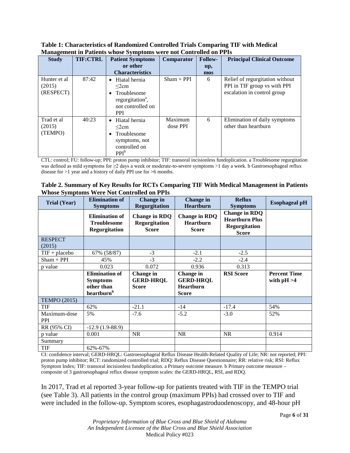| -0-                                 |                 |                                                                                                                            |                     |                |                                                                                                |  |  |  |  |
|-------------------------------------|-----------------|----------------------------------------------------------------------------------------------------------------------------|---------------------|----------------|------------------------------------------------------------------------------------------------|--|--|--|--|
| <b>Study</b>                        | <b>TIF:CTRL</b> | <b>Patient Symptoms</b>                                                                                                    | Comparator          | <b>Follow-</b> | <b>Principal Clinical Outcome</b>                                                              |  |  |  |  |
|                                     |                 | or other                                                                                                                   |                     | up,            |                                                                                                |  |  |  |  |
|                                     |                 | <b>Characteristics</b>                                                                                                     |                     | mos            |                                                                                                |  |  |  |  |
| Hunter et al<br>(2015)<br>(RESPECT) | 87:42           | Hiatal hernia<br>$\bullet$<br>$\leq$ 2cm<br>Troublesome<br>regurgitation <sup>a</sup> ,<br>not controlled on<br><b>PPI</b> | $Sham + PPI$        | 6              | Relief of regurgitation without<br>PPI in TIF group vs with PPI<br>escalation in control group |  |  |  |  |
| Trad et al<br>(2015)<br>(TEMPO)     | 40:23           | Hiatal hernia<br>$\bullet$<br>$\leq$ 2cm<br>Troublesome<br>symptoms, not<br>controlled on<br>PPI <sup>b</sup>              | Maximum<br>dose PPI | 6              | Elimination of daily symptoms<br>other than heartburn                                          |  |  |  |  |

**Table 1: Characteristics of Randomized Controlled Trials Comparing TIF with Medical Management in Patients whose Symptoms were not Controlled on PPIs**

CTL: control; FU: follow-up; PPI: proton pump inhibitor; TIF: transoral incisionless fundoplication. a Troublesome regurgitation was defined as mild symptoms for  $\geq 2$  days a week or moderate-to-severe symptoms  $>1$  day a week. b Gastroesophageal reflux disease for >1 year and a history of daily PPI use for >6 months.

| Table 2. Summary of Key Results for RCTs Comparing TIF With Medical Management in Patients |  |  |
|--------------------------------------------------------------------------------------------|--|--|
| <b>Whose Symptoms Were Not Controlled on PPIs</b>                                          |  |  |

| <b>Trial (Year)</b>        | <b>Elimination of</b><br><b>Symptoms</b>                                         | <b>Change</b> in<br><b>Regurgitation</b>              | Change in<br><b>Heartburn</b>                                     | <b>Reflux</b><br><b>Symptoms</b>                                               | <b>Esophageal pH</b>                 |
|----------------------------|----------------------------------------------------------------------------------|-------------------------------------------------------|-------------------------------------------------------------------|--------------------------------------------------------------------------------|--------------------------------------|
|                            | <b>Elimination of</b><br><b>Troublesome</b><br><b>Regurgitation</b>              | <b>Change in RDQ</b><br>Regurgitation<br><b>Score</b> | <b>Change in RDQ</b><br>Heartburn<br><b>Score</b>                 | <b>Change in RDQ</b><br><b>Heartburn Plus</b><br>Regurgitation<br><b>Score</b> |                                      |
| <b>RESPECT</b><br>(2015)   |                                                                                  |                                                       |                                                                   |                                                                                |                                      |
| $TIF + placebo$            | 67% (58/87)                                                                      | $-3$                                                  | $-2.1$                                                            | $-2.5$                                                                         |                                      |
| $Sham + PPI$               | 45%                                                                              | $-3$                                                  | $-2.2$                                                            | $-2.4$                                                                         |                                      |
| p value                    | 0.023                                                                            | 0.072                                                 | 0.936                                                             | 0.313                                                                          |                                      |
|                            | <b>Elimination of</b><br><b>Symptoms</b><br>other than<br>heartburn <sup>b</sup> | Change in<br><b>GERD-HRQL</b><br><b>Score</b>         | Change in<br><b>GERD-HRQL</b><br><b>Heartburn</b><br><b>Score</b> | <b>RSI</b> Score                                                               | <b>Percent Time</b><br>with $pH > 4$ |
| <b>TEMPO (2015)</b>        |                                                                                  |                                                       |                                                                   |                                                                                |                                      |
| TIF                        | 62%                                                                              | $-21.1$                                               | $-14$                                                             | $-17.4$                                                                        | 54%                                  |
| Maximum-dose<br><b>PPI</b> | 5%                                                                               | $-7.6$                                                | $-5.2$                                                            | $-3.0$                                                                         | 52%                                  |
| RR (95% CI)                | $-12.9(1.9-88.9)$                                                                |                                                       |                                                                   |                                                                                |                                      |
| p value                    | 0.001                                                                            | <b>NR</b>                                             | <b>NR</b>                                                         | <b>NR</b>                                                                      | 0.914                                |
| Summary                    |                                                                                  |                                                       |                                                                   |                                                                                |                                      |
| TIF                        | 62%-67%                                                                          |                                                       |                                                                   |                                                                                |                                      |

CI: confidence interval; GERD-HRQL: Gastroesophageal Reflux Disease Health-Related Quality of Life; NR: not reported; PPI: proton pump inhibitor; RCT: randomized controlled trial; RDQ: Reflux Disease Questionnaire; RR: relative risk; RSI: Reflux Symptom Index; TIF: transoral incisionless fundoplication. a Primary outcome measure. b Primary outcome measure – composite of 3 gastroesophageal reflux disease symptom scales: the GERD-HRQL, RSI, and RDQ.

In 2017, Trad et al reported 3-year follow-up for patients treated with TIF in the TEMPO trial (see Table 3). All patients in the control group (maximum PPIs) had crossed over to TIF and were included in the follow-up. Symptom scores, esophagastroduodenoscopy, and 48-hour pH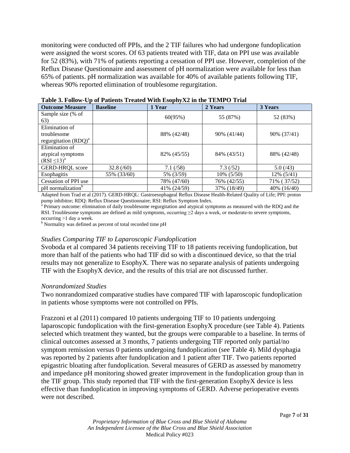monitoring were conducted off PPIs, and the 2 TIF failures who had undergone fundoplication were assigned the worst scores. Of 63 patients treated with TIF, data on PPI use was available for 52 (83%), with 71% of patients reporting a cessation of PPI use. However, completion of the Reflux Disease Questionnaire and assessment of pH normalization were available for less than 65% of patients. pH normalization was available for 40% of available patients following TIF, whereas 90% reported elimination of troublesome regurgitation.

| <b>Outcome Measure</b>        | <b>Baseline</b> | 1 Year      | 2 Years       | 3 Years       |
|-------------------------------|-----------------|-------------|---------------|---------------|
| Sample size (% of             |                 | 60(95%)     | 55 (87%)      |               |
| 63)                           |                 |             |               | 52 (83%)      |
| Elimination of                |                 |             |               |               |
| troublesome                   |                 | 88% (42/48) | 90% (41/44)   | 90% (37/41)   |
| regurgitation $(RDQ)^a$       |                 |             |               |               |
| Elimination of                |                 |             |               |               |
| atypical symptoms             |                 | 82% (45/55) | 84% (43/51)   | 88% (42/48)   |
| $(RSI \leq 13)^a$             |                 |             |               |               |
| <b>GERD-HRQL</b> score        | 32.8(60)        | $7.1\,(58)$ | 7.3(52)       | 5.0(43)       |
| Esophagitis                   | 55% (33/60)     | 5% (3/59)   | $10\%$ (5/50) | $12\%$ (5/41) |
| Cessation of PPI use          |                 | 78% (47/60) | 76% (42/55)   | 71% (37/52)   |
| pH normalization <sup>o</sup> |                 | 41% (24/59) | 37% (18/49)   | 40% (16/40)   |

**Table 3. Follow-Up of Patients Treated With EsophyX2 in the TEMPO Trial**

Adapted from Trad et al (2017). GERD-HRQL: Gastroesophageal Reflux Disease Health-Related Quality of Life; PPI: proton pump inhibitor; RDQ: Reflux Disease Questionnaire; RSI: Reflux Symptom Index.

<sup>a</sup> Primary outcome: elimination of daily troublesome regurgitation and atypical symptoms as measured with the RDQ and the RSI. Troublesome symptoms are defined as mild symptoms, occurring  $\geq 2$  days a week, or moderate-to severe symptoms, occurring >1 day a week.

<sup>b</sup> Normality was defined as percent of total recorded time pH

#### *Studies Comparing TIF to Laparoscopic Fundoplication*

Svoboda et al compared 34 patients receiving TIF to 18 patients receiving fundoplication, but more than half of the patients who had TIF did so with a discontinued device, so that the trial results may not generalize to EsophyX. There was no separate analysis of patients undergoing TIF with the EsophyX device, and the results of this trial are not discussed further.

#### *Nonrandomized Studies*

Two nonrandomized comparative studies have compared TIF with laparoscopic fundoplication in patients whose symptoms were not controlled on PPIs.

Frazzoni et al (2011) compared 10 patients undergoing TIF to 10 patients undergoing laparoscopic fundoplication with the first-generation EsophyX procedure (see Table 4). Patients selected which treatment they wanted, but the groups were comparable to a baseline. In terms of clinical outcomes assessed at 3 months, 7 patients undergoing TIF reported only partial/no symptom remission versus 0 patients undergoing fundoplication (see Table 4). Mild dysphagia was reported by 2 patients after fundoplication and 1 patient after TIF. Two patients reported epigastric bloating after fundoplication. Several measures of GERD as assessed by manometry and impedance pH monitoring showed greater improvement in the fundoplication group than in the TIF group. This study reported that TIF with the first-generation EsophyX device is less effective than fundoplication in improving symptoms of GERD. Adverse perioperative events were not described.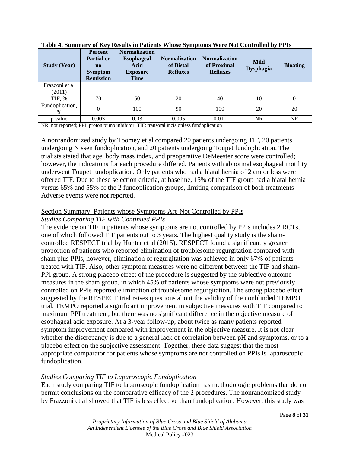| <b>Study (Year)</b>      | <b>Percent</b><br>Partial or<br>$\mathbf{n}$<br><b>Symptom</b><br><b>Remission</b> | <b>Normalization</b><br><b>Esophageal</b><br>Acid<br><b>Exposure</b><br><b>Time</b> | <b>Normalization</b><br>of Distal<br><b>Refluxes</b> | <b>Normalization</b><br>of Proximal<br><b>Refluxes</b> | <b>Mild</b><br><b>Dysphagia</b> | <b>Bloating</b> |
|--------------------------|------------------------------------------------------------------------------------|-------------------------------------------------------------------------------------|------------------------------------------------------|--------------------------------------------------------|---------------------------------|-----------------|
| Frazzoni et al<br>(2011) |                                                                                    |                                                                                     |                                                      |                                                        |                                 |                 |
| TIF, %                   | 70                                                                                 | 50                                                                                  | 20                                                   | 40                                                     | 10                              | 0               |
| Fundoplication,<br>$\%$  | $\overline{0}$                                                                     | 100                                                                                 | 90                                                   | 100                                                    | 20                              | 20              |
| p value                  | 0.003                                                                              | 0.03                                                                                | 0.005                                                | 0.011                                                  | <b>NR</b>                       | <b>NR</b>       |

**Table 4. Summary of Key Results in Patients Whose Symptoms Were Not Controlled by PPIs**

NR: not reported; PPI: proton pump inhibitor; TIF: transoral incisionless fundoplication

A nonrandomized study by Toomey et al compared 20 patients undergoing TIF, 20 patients undergoing Nissen fundoplication, and 20 patients undergoing Toupet fundoplication. The trialists stated that age, body mass index, and preoperative DeMeester score were controlled; however, the indications for each procedure differed. Patients with abnormal esophageal motility underwent Toupet fundoplication. Only patients who had a hiatal hernia of 2 cm or less were offered TIF. Due to these selection criteria, at baseline, 15% of the TIF group had a hiatal hernia versus 65% and 55% of the 2 fundoplication groups, limiting comparison of both treatments Adverse events were not reported.

# Section Summary: Patients whose Symptoms Are Not Controlled by PPIs *Studies Comparing TIF with Continued PPIs*

The evidence on TIF in patients whose symptoms are not controlled by PPIs includes 2 RCTs, one of which followed TIF patients out to 3 years. The highest quality study is the shamcontrolled RESPECT trial by Hunter et al (2015). RESPECT found a significantly greater proportion of patients who reported elimination of troublesome regurgitation compared with sham plus PPIs, however, elimination of regurgitation was achieved in only 67% of patients treated with TIF. Also, other symptom measures were no different between the TIF and sham-PPI group. A strong placebo effect of the procedure is suggested by the subjective outcome measures in the sham group, in which 45% of patients whose symptoms were not previously controlled on PPIs reported elimination of troublesome regurgitation. The strong placebo effect suggested by the RESPECT trial raises questions about the validity of the nonblinded TEMPO trial. TEMPO reported a significant improvement in subjective measures with TIF compared to maximum PPI treatment, but there was no significant difference in the objective measure of esophageal acid exposure. At a 3-year follow-up, about twice as many patients reported symptom improvement compared with improvement in the objective measure. It is not clear whether the discrepancy is due to a general lack of correlation between pH and symptoms, or to a placebo effect on the subjective assessment. Together, these data suggest that the most appropriate comparator for patients whose symptoms are not controlled on PPIs is laparoscopic fundoplication.

# *Studies Comparing TIF to Laparoscopic Fundoplication*

Each study comparing TIF to laparoscopic fundoplication has methodologic problems that do not permit conclusions on the comparative efficacy of the 2 procedures. The nonrandomized study by Frazzoni et al showed that TIF is less effective than fundoplication. However, this study was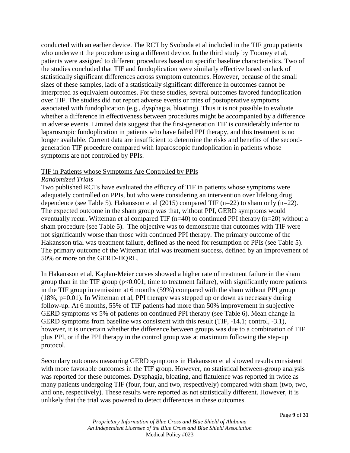conducted with an earlier device. The RCT by Svoboda et al included in the TIF group patients who underwent the procedure using a different device. In the third study by Toomey et al, patients were assigned to different procedures based on specific baseline characteristics. Two of the studies concluded that TIF and fundoplication were similarly effective based on lack of statistically significant differences across symptom outcomes. However, because of the small sizes of these samples, lack of a statistically significant difference in outcomes cannot be interpreted as equivalent outcomes. For these studies, several outcomes favored fundoplication over TIF. The studies did not report adverse events or rates of postoperative symptoms associated with fundoplication (e.g., dysphagia, bloating). Thus it is not possible to evaluate whether a difference in effectiveness between procedures might be accompanied by a difference in adverse events. Limited data suggest that the first-generation TIF is considerably inferior to laparoscopic fundoplication in patients who have failed PPI therapy, and this treatment is no longer available. Current data are insufficient to determine the risks and benefits of the secondgeneration TIF procedure compared with laparoscopic fundoplication in patients whose symptoms are not controlled by PPIs.

# TIF in Patients whose Symptoms Are Controlled by PPIs

### *Randomized Trials*

Two published RCTs have evaluated the efficacy of TIF in patients whose symptoms were adequately controlled on PPIs, but who were considering an intervention over lifelong drug dependence (see Table 5). Hakansson et al (2015) compared TIF (n=22) to sham only (n=22). The expected outcome in the sham group was that, without PPI, GERD symptoms would eventually recur. Witteman et al compared TIF (n=40) to continued PPI therapy (n=20) without a sham procedure (see Table 5). The objective was to demonstrate that outcomes with TIF were not significantly worse than those with continued PPI therapy. The primary outcome of the Hakansson trial was treatment failure, defined as the need for resumption of PPIs (see Table 5). The primary outcome of the Witteman trial was treatment success, defined by an improvement of 50% or more on the GERD-HQRL.

In Hakansson et al, Kaplan-Meier curves showed a higher rate of treatment failure in the sham group than in the TIF group  $(p<0.001$ , time to treatment failure), with significantly more patients in the TIF group in remission at 6 months (59%) compared with the sham without PPI group (18%, p=0.01). In Witteman et al, PPI therapy was stepped up or down as necessary during follow-up. At 6 months, 55% of TIF patients had more than 50% improvement in subjective GERD symptoms vs 5% of patients on continued PPI therapy (see Table 6). Mean change in GERD symptoms from baseline was consistent with this result (TIF, -14.1; control, -3.1), however, it is uncertain whether the difference between groups was due to a combination of TIF plus PPI, or if the PPI therapy in the control group was at maximum following the step-up protocol.

Secondary outcomes measuring GERD symptoms in Hakansson et al showed results consistent with more favorable outcomes in the TIF group. However, no statistical between-group analysis was reported for these outcomes. Dysphagia, bloating, and flatulence was reported in twice as many patients undergoing TIF (four, four, and two, respectively) compared with sham (two, two, and one, respectively). These results were reported as not statistically different. However, it is unlikely that the trial was powered to detect differences in these outcomes.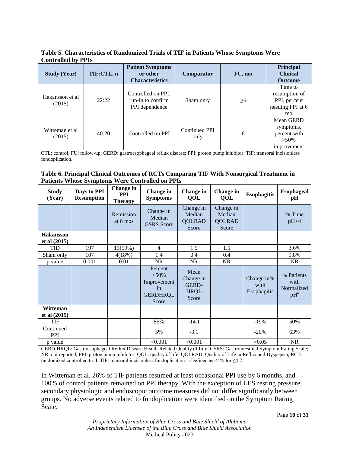**Table 5. Characteristics of Randomized Trials of TIF in Patients Whose Symptoms Were Controlled by PPIs**

| <b>Study (Year)</b>       | TIF:CTL, n | <b>Patient Symptoms</b><br>or other<br><b>Characteristics</b> | Comparator                   | FU, mo   | <b>Principal</b><br><b>Clinical</b><br><b>Outcome</b>                         |
|---------------------------|------------|---------------------------------------------------------------|------------------------------|----------|-------------------------------------------------------------------------------|
| Hakansson et al<br>(2015) | 22:22      | Controlled on PPI,<br>run-in to confirm<br>PPI dependence     | Sham only                    | $\geq 6$ | Time to<br>resumption of<br>PPI, percent<br>needing PPI at 6<br><sub>mo</sub> |
| Witteman et al<br>(2015)  | 40:20      | Controlled on PPI                                             | <b>Continued PPI</b><br>only | 6        | Mean GERD<br>symptoms,<br>percent with<br>$>50\%$<br>improvement              |

CTL: control; FU: follow-up; GERD: gastroesophageal reflux disease; PPI: proton pump inhibitor; TIF: transoral incisionless fundoplication.

#### **Table 6. Principal Clinical Outcomes of RCTs Comparing TIF With Nonsurgical Treatment in Patients Whose Symptoms Were Controlled on PPIs**

| <b>Study</b><br>(Year)  | Days to PPI<br><b>Resumption</b> | Change in<br><b>PPI</b><br><b>Therapy</b> | <b>Change</b> in<br><b>Symptoms</b>                                 | Change in<br><b>OOL</b>                            | Change in<br><b>OOL</b>                       | <b>Esophagitis</b>                | <b>Esophageal</b><br>pH                    |
|-------------------------|----------------------------------|-------------------------------------------|---------------------------------------------------------------------|----------------------------------------------------|-----------------------------------------------|-----------------------------------|--------------------------------------------|
|                         |                                  | Remission<br>at 6 mos                     | Change in<br>Median<br><b>GSRS</b> Score                            | Change in<br>Median<br><b>QOLRAD</b><br>Score      | Change in<br>Median<br><b>QOLRAD</b><br>Score |                                   | % Time<br>pH<4                             |
| <b>Hakansson</b>        |                                  |                                           |                                                                     |                                                    |                                               |                                   |                                            |
| et al (2015)            |                                  |                                           |                                                                     |                                                    |                                               |                                   |                                            |
| TID                     | 197                              | 13(59%)                                   | $\overline{4}$                                                      | 1.5                                                | 1.5                                           |                                   | 3.6%                                       |
| Sham only               | 107                              | 4(18%)                                    | 1.4                                                                 | 0.4                                                | 0.4                                           |                                   | 9.8%                                       |
| p value                 | 0.001                            | 0.01                                      | <b>NR</b>                                                           | NR.                                                | NR.                                           |                                   | <b>NR</b>                                  |
|                         |                                  |                                           | Percent<br>$>50\%$<br>Improvement<br>in<br><b>GERDHRQL</b><br>Score | Mean<br>Change in<br>GERD-<br><b>HRQL</b><br>Score |                                               | Change in%<br>with<br>Esophagitis | % Patients<br>with<br>Normalized<br>$pH^a$ |
| Witteman                |                                  |                                           |                                                                     |                                                    |                                               |                                   |                                            |
| et al (2015)            |                                  |                                           |                                                                     |                                                    |                                               |                                   |                                            |
| <b>TIF</b>              |                                  |                                           | 55%                                                                 | $-14.1$                                            |                                               | $-19%$                            | 50%                                        |
| Continued<br><b>PPI</b> |                                  |                                           | 5%                                                                  | $-3.1$                                             |                                               | $-20%$                            | 63%                                        |
| p value                 |                                  |                                           | < 0.001                                                             | < 0.001                                            |                                               | >0.05                             | <b>NR</b>                                  |

GERD-HRQL: Gastroesophageal Reflux Disease Health-Related Quality of Life; GSRS: Gastrointestinal Symptom Rating Scale; NR: not reported; PPI: proton pump inhibitor; QOL: quality of life; QOLRAD: Quality of Life in Reflux and Dyspepsia; RCT: randomized controlled trial; TIF: transoral incisionless fundoplication. a Defined as <4% for  $\leq 4.2$ 

In Witteman et al, 26% of TIF patients resumed at least occasional PPI use by 6 months, and 100% of control patients remained on PPI therapy. With the exception of LES resting pressure, secondary physiologic and endoscopic outcome measures did not differ significantly between groups. No adverse events related to fundoplication were identified on the Symptom Rating Scale.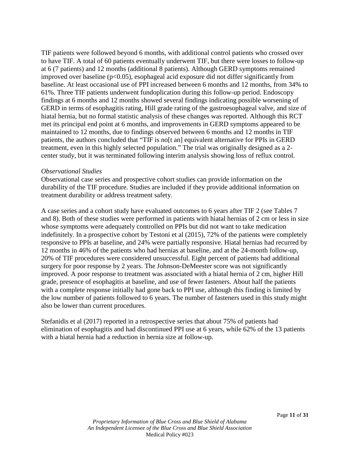TIF patients were followed beyond 6 months, with additional control patients who crossed over to have TIF. A total of 60 patients eventually underwent TIF, but there were losses to follow-up at 6 (7 patients) and 12 months (additional 8 patients). Although GERD symptoms remained improved over baseline  $(p<0.05)$ , esophageal acid exposure did not differ significantly from baseline. At least occasional use of PPI increased between 6 months and 12 months, from 34% to 61%. Three TIF patients underwent fundoplication during this follow-up period. Endoscopy findings at 6 months and 12 months showed several findings indicating possible worsening of GERD in terms of esophagitis rating, Hill grade rating of the gastroesophageal valve, and size of hiatal hernia, but no formal statistic analysis of these changes was reported. Although this RCT met its principal end point at 6 months, and improvements in GERD symptoms appeared to be maintained to 12 months, due to findings observed between 6 months and 12 months in TIF patients, the authors concluded that "TIF is no[t an] equivalent alternative for PPIs in GERD treatment, even in this highly selected population." The trial was originally designed as a 2 center study, but it was terminated following interim analysis showing loss of reflux control.

### *Observational Studies*

Observational case series and prospective cohort studies can provide information on the durability of the TIF procedure. Studies are included if they provide additional information on treatment durability or address treatment safety.

A case series and a cohort study have evaluated outcomes to 6 years after TIF 2 (see Tables 7 and 8). Both of these studies were performed in patients with hiatal hernias of 2 cm or less in size whose symptoms were adequately controlled on PPIs but did not want to take medication indefinitely. In a prospective cohort by Testoni et al (2015), 72% of the patients were completely responsive to PPIs at baseline, and 24% were partially responsive. Hiatal hernias had recurred by 12 months in 46% of the patients who had hernias at baseline, and at the 24-month follow-up, 20% of TIF procedures were considered unsuccessful. Eight percent of patients had additional surgery for poor response by 2 years. The Johnson-DeMeester score was not significantly improved. A poor response to treatment was associated with a hiatal hernia of 2 cm, higher Hill grade, presence of esophagitis at baseline, and use of fewer fasteners. About half the patients with a complete response initially had gone back to PPI use, although this finding is limited by the low number of patients followed to 6 years. The number of fasteners used in this study might also be lower than current procedures.

Stefanidis et al (2017) reported in a retrospective series that about 75% of patients had elimination of esophagitis and had discontinued PPI use at 6 years, while 62% of the 13 patients with a hiatal hernia had a reduction in hernia size at follow-up.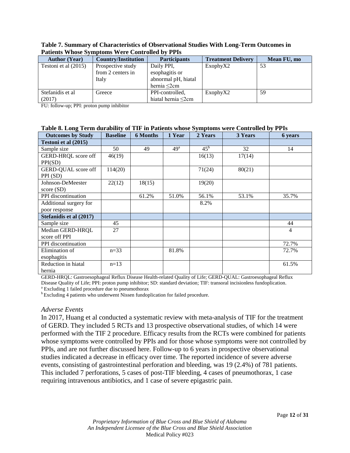| T auchts Wilbsc Bylliptonis Were controlled by I I Is |                            |                          |                           |             |  |  |  |  |  |
|-------------------------------------------------------|----------------------------|--------------------------|---------------------------|-------------|--|--|--|--|--|
| <b>Author</b> (Year)                                  | <b>Country/Institution</b> | <b>Participants</b>      | <b>Treatment Delivery</b> | Mean FU, mo |  |  |  |  |  |
| Testoni et al (2015)                                  | Prospective study          | Daily PPI,               | ExophyX2                  | 53          |  |  |  |  |  |
|                                                       | from 2 centers in          | esophagitis or           |                           |             |  |  |  |  |  |
|                                                       | Italy                      | abnormal pH, hiatal      |                           |             |  |  |  |  |  |
|                                                       |                            | hernia $\leq$ 2cm        |                           |             |  |  |  |  |  |
| Stefanidis et al                                      | Greece                     | PPI-controlled,          | ExophyX2                  | 59          |  |  |  |  |  |
| (2017)                                                |                            | hiatal hernia $\leq$ 2cm |                           |             |  |  |  |  |  |

**Table 7. Summary of Characteristics of Observational Studies With Long-Term Outcomes in Patients Whose Symptoms Were Controlled by PPIs**

FU: follow-up; PPI: proton pump inhibitor

#### **Table 8. Long Term durability of TIF in Patients whose Symptoms were Controlled by PPIs**

| <b>Outcomes by Study</b>        | <b>Baseline</b> | <b>6 Months</b> | 1 Year          | 2 Years      | 3 Years | 6 years |
|---------------------------------|-----------------|-----------------|-----------------|--------------|---------|---------|
| Testoni et al (2015)            |                 |                 |                 |              |         |         |
| Sample size                     | 50              | 49              | 49 <sup>a</sup> | $45^{\rm b}$ | 32      | 14      |
| GERD-HRQL score off<br>PPI(SD)  | 46(19)          |                 |                 | 16(13)       | 17(14)  |         |
| GERD-QUAL score off<br>PPI (SD) | 114(20)         |                 |                 | 71(24)       | 80(21)  |         |
| Johnson-DeMeester<br>score(SD)  | 22(12)          | 18(15)          |                 | 19(20)       |         |         |
| PPI discontinuation             |                 | 61.2%           | 51.0%           | 56.1%        | 53.1%   | 35.7%   |
| Additional surgery for          |                 |                 |                 | 8.2%         |         |         |
| poor response                   |                 |                 |                 |              |         |         |
| Stefanidis et al (2017)         |                 |                 |                 |              |         |         |
| Sample size                     | 45              |                 |                 |              |         | 44      |
| Median GERD-HRQL                | 27              |                 |                 |              |         | 4       |
| score off PPI                   |                 |                 |                 |              |         |         |
| PPI discontinuation             |                 |                 |                 |              |         | 72.7%   |
| Elimination of                  | $n=33$          |                 | 81.8%           |              |         | 72.7%   |
| esophagitis                     |                 |                 |                 |              |         |         |
| Reduction in hiatal<br>hernia   | $n=13$          |                 |                 |              |         | 61.5%   |

GERD-HRQL: Gastroesophageal Reflux Disease Health-related Quality of Life; GERD-QUAL: Gastroesophageal Reflux Disease Quality of Life; PPI: proton pump inhibitor; SD: standard deviation; TIF: transoral incisionless fundoplication. <br><sup>a</sup> Excluding 1 failed procedure due to pneumothorax

<sup>b</sup> Excluding 4 patients who underwent Nissen fundoplication for failed procedure.

# *Adverse Events*

In 2017, Huang et al conducted a systematic review with meta-analysis of TIF for the treatment of GERD. They included 5 RCTs and 13 prospective observational studies, of which 14 were performed with the TIF 2 procedure. Efficacy results from the RCTs were combined for patients whose symptoms were controlled by PPIs and for those whose symptoms were not controlled by PPIs, and are not further discussed here. Follow-up to 6 years in prospective observational studies indicated a decrease in efficacy over time. The reported incidence of severe adverse events, consisting of gastrointestinal perforation and bleeding, was 19 (2.4%) of 781 patients. This included 7 perforations, 5 cases of post-TIF bleeding, 4 cases of pneumothorax, 1 case requiring intravenous antibiotics, and 1 case of severe epigastric pain.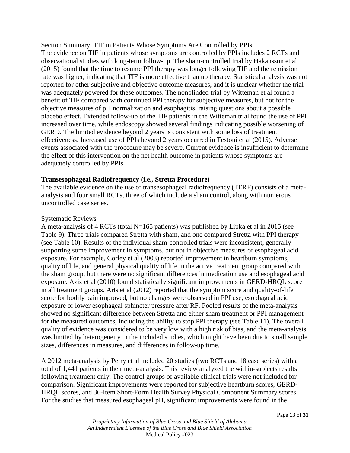# Section Summary: TIF in Patients Whose Symptoms Are Controlled by PPIs

The evidence on TIF in patients whose symptoms are controlled by PPIs includes 2 RCTs and observational studies with long-term follow-up. The sham-controlled trial by Hakansson et al (2015) found that the time to resume PPI therapy was longer following TIF and the remission rate was higher, indicating that TIF is more effective than no therapy. Statistical analysis was not reported for other subjective and objective outcome measures, and it is unclear whether the trial was adequately powered for these outcomes. The nonblinded trial by Witteman et al found a benefit of TIF compared with continued PPI therapy for subjective measures, but not for the objective measures of pH normalization and esophagitis, raising questions about a possible placebo effect. Extended follow-up of the TIF patients in the Witteman trial found the use of PPI increased over time, while endoscopy showed several findings indicating possible worsening of GERD. The limited evidence beyond 2 years is consistent with some loss of treatment effectiveness. Increased use of PPIs beyond 2 years occurred in Testoni et al (2015). Adverse events associated with the procedure may be severe. Current evidence is insufficient to determine the effect of this intervention on the net health outcome in patients whose symptoms are adequately controlled by PPIs.

# **Transesophageal Radiofrequency (i.e., Stretta Procedure)**

The available evidence on the use of transesophageal radiofrequency (TERF) consists of a metaanalysis and four small RCTs, three of which include a sham control, along with numerous uncontrolled case series.

# Systematic Reviews

A meta-analysis of 4 RCTs (total N=165 patients) was published by Lipka et al in 2015 (see Table 9). Three trials compared Stretta with sham, and one compared Stretta with PPI therapy (see Table 10). Results of the individual sham-controlled trials were inconsistent, generally supporting some improvement in symptoms, but not in objective measures of esophageal acid exposure. For example, Corley et al (2003) reported improvement in heartburn symptoms, quality of life, and general physical quality of life in the active treatment group compared with the sham group, but there were no significant differences in medication use and esophageal acid exposure. Aziz et al (2010) found statistically significant improvements in GERD-HRQL score in all treatment groups. Arts et al (2012) reported that the symptom score and quality-of-life score for bodily pain improved, but no changes were observed in PPI use, esophageal acid exposure or lower esophageal sphincter pressure after RF. Pooled results of the meta-analysis showed no significant difference between Stretta and either sham treatment or PPI management for the measured outcomes, including the ability to stop PPI therapy (see Table 11). The overall quality of evidence was considered to be very low with a high risk of bias, and the meta-analysis was limited by heterogeneity in the included studies, which might have been due to small sample sizes, differences in measures, and differences in follow-up time.

A 2012 meta-analysis by Perry et al included 20 studies (two RCTs and 18 case series) with a total of 1,441 patients in their meta-analysis. This review analyzed the within-subjects results following treatment only. The control groups of available clinical trials were not included for comparison. Significant improvements were reported for subjective heartburn scores, GERD-HRQL scores, and 36-Item Short-Form Health Survey Physical Component Summary scores. For the studies that measured esophageal pH, significant improvements were found in the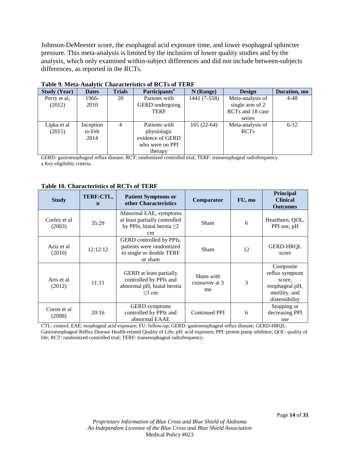Johnson-DeMeester score, the esophageal acid exposure time, and lower esophageal sphincter pressure. This meta-analysis is limited by the inclusion of lower quality studies and by the analysis, which only examined within-subject differences and did not include between-subjects differences, as reported in the RCTs.

| <b>Study (Year)</b> | <b>Dates</b> | <b>Trials</b> | Participants <sup>a</sup> | $N$ (Range)  | <b>Design</b>    | Duration, mo |
|---------------------|--------------|---------------|---------------------------|--------------|------------------|--------------|
| Perry et al,        | 1966-        | 20            | Patients with             | 1441 (7-558) | Meta-analysis of | $4 - 48$     |
| (2012)              | 2010         |               | <b>GERD</b> undergoing    |              | single arm of 2  |              |
|                     |              |               | <b>TERF</b>               |              | RCTs and 18 case |              |
|                     |              |               |                           |              | series           |              |
| Lipka et al         | Inception    | 4             | Patients with             | $165(22-64)$ | Meta-analysis of | $6 - 12$     |
| (2015)              | to Feb       |               | physiologic               |              | <b>RCTs</b>      |              |
|                     | 2014         |               | evidence of GERD          |              |                  |              |
|                     |              |               | who were on PPI           |              |                  |              |
|                     |              |               | therapy                   |              |                  |              |

#### **Table 9. Meta-Analytic Characteristics of RCTs of TERF**

GERD: gastroesophageal reflux disease; RCT: randomized controlled trial; TERF: transesophageal radiofrequency. a Key eligibility criteria.

#### **Table 10. Characteristics of RCTs of TERF**

| <b>Study</b>           | TERF:CTL,<br>$\mathbf n$ | <b>Patient Symptoms or</b><br>other Characteristics                                                   | Comparator                        | FU, mo | Principal<br><b>Clinical</b><br><b>Outcomes</b>                                            |
|------------------------|--------------------------|-------------------------------------------------------------------------------------------------------|-----------------------------------|--------|--------------------------------------------------------------------------------------------|
| Corley et al<br>(2003) | 35:29                    | Abnormal EAE, symptoms<br>at least partially controlled<br>by PPIs, hiatal hernia $\leq$ 2<br>cm      | <b>Sham</b>                       | 6      | Heartburn, QOL,<br>PPI use, pH                                                             |
| Aziz et al<br>(2010)   | 12:12:12                 | GERD controlled by PPIs,<br>patients were randomized<br>to single or double TERF<br>or sham           | <b>Sham</b>                       | 12     | <b>GERD-HROL</b><br>score                                                                  |
| Arts et al<br>(2012)   | 11:11                    | <b>GERD</b> at least partially<br>controlled by PPIs and<br>abnormal pH, hiatal hernia<br>$\leq$ 3 cm | Sham with<br>crossover at 3<br>mo | 3      | Composite<br>reflux symptom<br>score,<br>esophageal pH,<br>motility, and<br>distensibility |
| Coron et al<br>(2008)  | 20:16                    | <b>GERD</b> symptoms<br>controlled by PPIs and<br>abnormal EAAE                                       | <b>Continued PPI</b>              | 6      | Stopping or<br>decreasing PPI<br>use                                                       |

CTL: control; EAE: esophageal acid exposure; FU: follow-up; GERD: gastroesophageal reflux disease; GERD-HRQL: Gastroesophageal Reflux Disease Health-related Quality of Life; pH: acid exposure; PPI: proton pump inhibitor; QOL: quality of life; RCT: randomized controlled trial; TERF: transesophageal radiofrequency.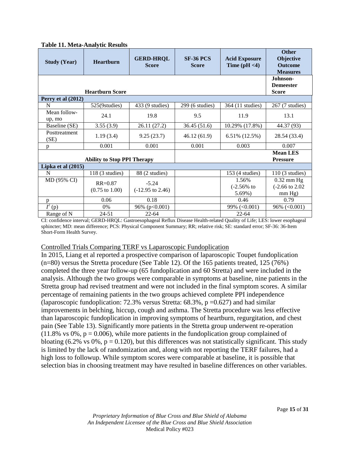| <b>Study (Year)</b>    | <b>Heartburn</b>                         | <b>GERD-HRQL</b><br><b>Score</b>       | <b>SF-36 PCS</b><br><b>Score</b> | <b>Acid Exposure</b><br>Time $(pH < 4)$ | <b>Other</b><br>Objective<br><b>Outcome</b><br><b>Measures</b> |  |  |
|------------------------|------------------------------------------|----------------------------------------|----------------------------------|-----------------------------------------|----------------------------------------------------------------|--|--|
|                        | <b>Heartburn Score</b>                   |                                        |                                  |                                         | Johnson-<br><b>Demeester</b><br><b>Score</b>                   |  |  |
| Perry et al (2012)     |                                          |                                        |                                  |                                         |                                                                |  |  |
| N                      | 525(9studies)                            | 433 (9 studies)                        | $299(6 \times)$                  | 364 (11 studies)                        | 267 (7 studies)                                                |  |  |
| Mean follow-<br>up, mo | 24.1                                     | 19.8                                   | 9.5                              | 11.9                                    | 13.1                                                           |  |  |
| Baseline (SE)          | 3.55(3.9)                                | 26.11 (27.2)                           | 36.45(51.6)                      | 10.29% (17.8%)                          | 44.37 (93)                                                     |  |  |
| Posttreatment<br>(SE)  | 1.19(3.4)                                | 9.25(23.7)                             | 46.12(61.9)                      | $6.51\%$ (12.5%)                        | 28.54 (33.4)                                                   |  |  |
| $\mathbf{D}$           | 0.001                                    | 0.001                                  | 0.001                            | 0.003                                   | 0.007                                                          |  |  |
|                        | <b>Ability to Stop PPI Therapy</b>       |                                        |                                  |                                         | <b>Mean LES</b><br><b>Pressure</b>                             |  |  |
| Lipka et al (2015)     |                                          |                                        |                                  |                                         |                                                                |  |  |
| N                      | $118(3$ studies)                         | 88 (2 studies)                         |                                  | $153(4$ studies)                        | $110(3$ studies)                                               |  |  |
| MD (95% CI)            | $RR = 0.87$<br>$(0.75 \text{ to } 1.00)$ | $-5.24$<br>$(-12.95 \text{ to } 2.46)$ |                                  | 1.56%<br>$(-2.56%$ to<br>5.69%)         | $0.32$ mm Hg<br>$(-2.66 \text{ to } 2.02)$<br>mm Hg)           |  |  |
| p                      | 0.06                                     | 0.18                                   |                                  | 0.46                                    | 0.79                                                           |  |  |
| $\vec{I}^2$ (p)        | 0%                                       | 96% ( $p<0.001$ )                      |                                  | 99% $(<0.001)$                          | $96\%$ (<0.001)                                                |  |  |
| Range of N             | 24-51                                    | $22 - 64$                              |                                  | $22 - 64$                               |                                                                |  |  |

**Table 11. Meta-Analytic Results**

CI: confidence interval; GERD-HRQL: Gastroesophageal Reflux Disease Health-related Quality of Life; LES: lower esophageal sphincter; MD: mean difference; PCS: Physical Component Summary; RR; relative risk; SE: standard error; SF-36: 36-Item Short-Form Health Survey.

# Controlled Trials Comparing TERF vs Laparoscopic Fundoplication

In 2015, Liang et al reported a prospective comparison of laparoscopic Toupet fundoplication (n=80) versus the Stretta procedure (See Table 12). Of the 165 patients treated, 125 (76%) completed the three year follow-up (65 fundoplication and 60 Stretta) and were included in the analysis. Although the two groups were comparable in symptoms at baseline, nine patients in the Stretta group had revised treatment and were not included in the final symptom scores. A similar percentage of remaining patients in the two groups achieved complete PPI independence (laparoscopic fundoplication: 72.3% versus Stretta:  $68.3\%$ ,  $p = 0.627$ ) and had similar improvements in belching, hiccup, cough and asthma. The Stretta procedure was less effective than laparoscopic fundoplication in improving symptoms of heartburn, regurgitation, and chest pain (See Table 13). Significantly more patients in the Stretta group underwent re-operation  $(11.8\% \text{ vs } 0\%, \text{ p} = 0.006)$ , while more patients in the fundoplication group complained of bloating (6.2% vs 0%,  $p = 0.120$ ), but this differences was not statistically significant. This study is limited by the lack of randomization and, along with not reporting the TERF failures, had a high loss to followup. While symptom scores were comparable at baseline, it is possible that selection bias in choosing treatment may have resulted in baseline differences on other variables.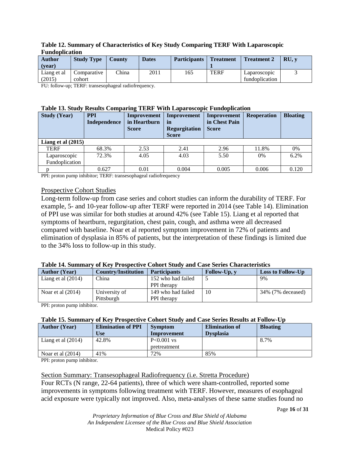| 1 unuvwncacion        |                       |               |              |                     |                  |                                |              |
|-----------------------|-----------------------|---------------|--------------|---------------------|------------------|--------------------------------|--------------|
| Author                | <b>Study Type</b>     | <b>County</b> | <b>Dates</b> | <b>Participants</b> | <b>Treatment</b> | <b>Treatment 2</b>             | RU. <i>v</i> |
| (vear)                |                       |               |              |                     |                  |                                |              |
| Liang et al<br>(2015) | Comparative<br>cohort | China         | 2011         | 165                 | <b>TERF</b>      | Laparoscopic<br>fundoplication |              |

#### **Table 12. Summary of Characteristics of Key Study Comparing TERF With Laparoscopic Fundoplication**

FU: follow-up; TERF: transesophageal radiofrequency.

#### **Table 13. Study Results Comparing TERF With Laparoscopic Fundoplication**

| <b>Study (Year)</b>  | <b>PPI</b><br>Independence | Improvement<br>in Heartburn<br><b>Score</b> | Improvement<br>in<br><b>Regurgitation</b><br><b>Score</b> | Improvement<br>in Chest Pain<br><b>Score</b> | <b>Reoperation</b> | <b>Bloating</b> |  |
|----------------------|----------------------------|---------------------------------------------|-----------------------------------------------------------|----------------------------------------------|--------------------|-----------------|--|
| Liang et al $(2015)$ |                            |                                             |                                                           |                                              |                    |                 |  |
| <b>TERF</b>          | 68.3%                      | 2.53                                        | 2.41                                                      | 2.96                                         | 11.8%              | 0%              |  |
| Laparoscopic         | 72.3%                      | 4.05                                        | 4.03                                                      | 5.50                                         | $0\%$              | 6.2%            |  |
| Fundoplication       |                            |                                             |                                                           |                                              |                    |                 |  |
|                      | 0.627                      | 0.01                                        | 0.004                                                     | 0.005                                        | 0.006              | 0.120           |  |

PPI: proton pump inhibitor; TERF: transesophageal radiofrequency

# Prospective Cohort Studies

Long-term follow-up from case series and cohort studies can inform the durability of TERF. For example, 5- and 10-year follow-up after TERF were reported in 2014 (see Table 14). Elimination of PPI use was similar for both studies at around 42% (see Table 15). Liang et al reported that symptoms of heartburn, regurgitation, chest pain, cough, and asthma were all decreased compared with baseline. Noar et al reported symptom improvement in 72% of patients and elimination of dysplasia in 85% of patients, but the interpretation of these findings is limited due to the 34% loss to follow-up in this study.

#### **Table 14. Summary of Key Prospective Cohort Study and Case Series Characteristics**

| <b>Author</b> (Year)                                     | <b>Country/Institution</b> | <b>Participants</b> | Follow-Up, y | <b>Loss to Follow-Up</b> |  |
|----------------------------------------------------------|----------------------------|---------------------|--------------|--------------------------|--|
| Liang et al $(2014)$                                     | China                      | 152 who had failed  |              | 9%                       |  |
|                                                          |                            | PPI therapy         |              |                          |  |
| Noar et al $(2014)$                                      | University of              | 149 who had failed  | 10           | 34% (7% deceased)        |  |
|                                                          | Pittsburgh                 | <b>PPI</b> therapy  |              |                          |  |
| .<br>$\mathbf{m}$<br>the contract of the contract of the |                            |                     |              |                          |  |

PPI: proton pump inhibitor.

# **Table 15. Summary of Key Prospective Cohort Study and Case Series Results at Follow-Up**

| <b>Author</b> (Year) | <b>Elimination of PPI</b><br>Use | <b>Symptom</b><br>Improvement | <b>Elimination of</b><br><b>Dysplasia</b> | <b>Bloating</b> |
|----------------------|----------------------------------|-------------------------------|-------------------------------------------|-----------------|
| Liang et al $(2014)$ | 42.8%                            | $P<0.001$ vs                  |                                           | 8.7%            |
|                      |                                  | pretreatment                  |                                           |                 |
| Noar et al $(2014)$  | 41%                              | 72%                           | 85%                                       |                 |

PPI: proton pump inhibitor.

# Section Summary: Transesophageal Radiofrequency (i.e. Stretta Procedure)

Four RCTs (N range, 22-64 patients), three of which were sham-controlled, reported some improvements in symptoms following treatment with TERF. However, measures of esophageal acid exposure were typically not improved. Also, meta-analyses of these same studies found no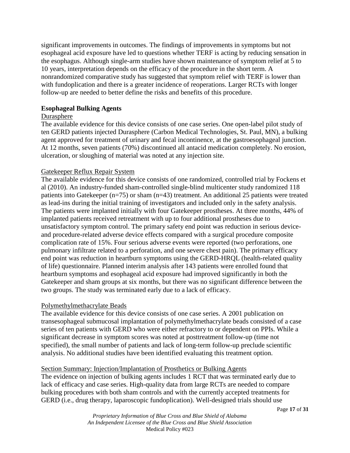significant improvements in outcomes. The findings of improvements in symptoms but not esophageal acid exposure have led to questions whether TERF is acting by reducing sensation in the esophagus. Although single-arm studies have shown maintenance of symptom relief at 5 to 10 years, interpretation depends on the efficacy of the procedure in the short term. A nonrandomized comparative study has suggested that symptom relief with TERF is lower than with fundoplication and there is a greater incidence of reoperations. Larger RCTs with longer follow-up are needed to better define the risks and benefits of this procedure.

# **Esophageal Bulking Agents**

# **Durasphere**

The available evidence for this device consists of one case series. One open-label pilot study of ten GERD patients injected Durasphere (Carbon Medical Technologies, St. Paul, MN), a bulking agent approved for treatment of urinary and fecal incontinence, at the gastroesophageal junction. At 12 months, seven patients (70%) discontinued all antacid medication completely. No erosion, ulceration, or sloughing of material was noted at any injection site.

# Gatekeeper Reflux Repair System

The available evidence for this device consists of one randomized, controlled trial by Fockens et al (2010). An industry-funded sham-controlled single-blind multicenter study randomized 118 patients into Gatekeeper (n=75) or sham (n=43) treatment. An additional 25 patients were treated as lead-ins during the initial training of investigators and included only in the safety analysis. The patients were implanted initially with four Gatekeeper prostheses. At three months, 44% of implanted patients received retreatment with up to four additional prostheses due to unsatisfactory symptom control. The primary safety end point was reduction in serious deviceand procedure-related adverse device effects compared with a surgical procedure composite complication rate of 15%. Four serious adverse events were reported (two perforations, one pulmonary infiltrate related to a perforation, and one severe chest pain). The primary efficacy end point was reduction in heartburn symptoms using the GERD-HRQL (health-related quality of life) questionnaire. Planned interim analysis after 143 patients were enrolled found that heartburn symptoms and esophageal acid exposure had improved significantly in both the Gatekeeper and sham groups at six months, but there was no significant difference between the two groups. The study was terminated early due to a lack of efficacy.

# Polymethylmethacrylate Beads

The available evidence for this device consists of one case series. A 2001 publication on transesophageal submucosal implantation of polymethylmethacrylate beads consisted of a case series of ten patients with GERD who were either refractory to or dependent on PPIs. While a significant decrease in symptom scores was noted at posttreatment follow-up (time not specified), the small number of patients and lack of long-term follow-up preclude scientific analysis. No additional studies have been identified evaluating this treatment option.

# Section Summary: Injection/Implantation of Prosthetics or Bulking Agents

The evidence on injection of bulking agents includes 1 RCT that was terminated early due to lack of efficacy and case series. High-quality data from large RCTs are needed to compare bulking procedures with both sham controls and with the currently accepted treatments for GERD (i.e., drug therapy, laparoscopic fundoplication). Well-designed trials should use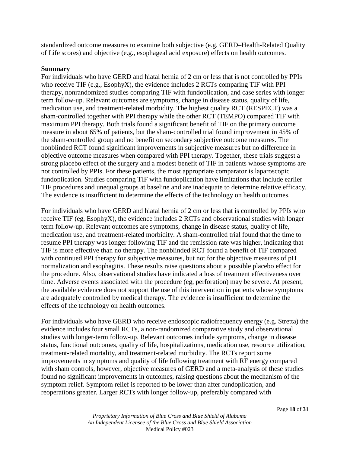standardized outcome measures to examine both subjective (e.g. GERD–Health-Related Quality of Life scores) and objective (e.g., esophageal acid exposure) effects on health outcomes.

### **Summary**

For individuals who have GERD and hiatal hernia of 2 cm or less that is not controlled by PPIs who receive TIF (e.g., EsophyX), the evidence includes 2 RCTs comparing TIF with PPI therapy, nonrandomized studies comparing TIF with fundoplication, and case series with longer term follow-up. Relevant outcomes are symptoms, change in disease status, quality of life, medication use, and treatment-related morbidity. The highest quality RCT (RESPECT) was a sham-controlled together with PPI therapy while the other RCT (TEMPO) compared TIF with maximum PPI therapy. Both trials found a significant benefit of TIF on the primary outcome measure in about 65% of patients, but the sham-controlled trial found improvement in 45% of the sham-controlled group and no benefit on secondary subjective outcome measures. The nonblinded RCT found significant improvements in subjective measures but no difference in objective outcome measures when compared with PPI therapy. Together, these trials suggest a strong placebo effect of the surgery and a modest benefit of TIF in patients whose symptoms are not controlled by PPIs. For these patients, the most appropriate comparator is laparoscopic fundoplication. Studies comparing TIF with fundoplication have limitations that include earlier TIF procedures and unequal groups at baseline and are inadequate to determine relative efficacy. The evidence is insufficient to determine the effects of the technology on health outcomes.

For individuals who have GERD and hiatal hernia of 2 cm or less that is controlled by PPIs who receive TIF (eg, EsophyX), the evidence includes 2 RCTs and observational studies with longer term follow-up. Relevant outcomes are symptoms, change in disease status, quality of life, medication use, and treatment-related morbidity. A sham-controlled trial found that the time to resume PPI therapy was longer following TIF and the remission rate was higher, indicating that TIF is more effective than no therapy. The nonblinded RCT found a benefit of TIF compared with continued PPI therapy for subjective measures, but not for the objective measures of pH normalization and esophagitis. These results raise questions about a possible placebo effect for the procedure. Also, observational studies have indicated a loss of treatment effectiveness over time. Adverse events associated with the procedure (eg, perforation) may be severe. At present, the available evidence does not support the use of this intervention in patients whose symptoms are adequately controlled by medical therapy. The evidence is insufficient to determine the effects of the technology on health outcomes.

For individuals who have GERD who receive endoscopic radiofrequency energy (e.g. Stretta) the evidence includes four small RCTs, a non-randomized comparative study and observational studies with longer-term follow-up. Relevant outcomes include symptoms, change in disease status, functional outcomes, quality of life, hospitalizations, medication use, resource utilization, treatment-related mortality, and treatment-related morbidity. The RCTs report some improvements in symptoms and quality of life following treatment with RF energy compared with sham controls, however, objective measures of GERD and a meta-analysis of these studies found no significant improvements in outcomes, raising questions about the mechanism of the symptom relief. Symptom relief is reported to be lower than after fundoplication, and reoperations greater. Larger RCTs with longer follow-up, preferably compared with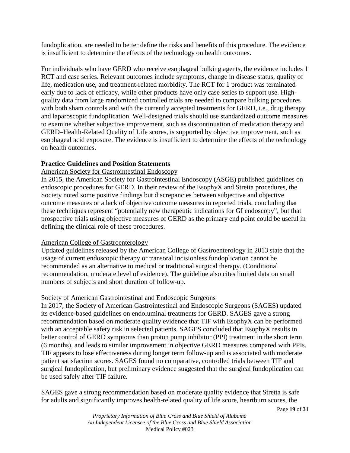fundoplication, are needed to better define the risks and benefits of this procedure. The evidence is insufficient to determine the effects of the technology on health outcomes.

For individuals who have GERD who receive esophageal bulking agents, the evidence includes 1 RCT and case series. Relevant outcomes include symptoms, change in disease status, quality of life, medication use, and treatment-related morbidity. The RCT for 1 product was terminated early due to lack of efficacy, while other products have only case series to support use. Highquality data from large randomized controlled trials are needed to compare bulking procedures with both sham controls and with the currently accepted treatments for GERD, i.e., drug therapy and laparoscopic fundoplication. Well-designed trials should use standardized outcome measures to examine whether subjective improvement, such as discontinuation of medication therapy and GERD–Health-Related Quality of Life scores, is supported by objective improvement, such as esophageal acid exposure. The evidence is insufficient to determine the effects of the technology on health outcomes.

# **Practice Guidelines and Position Statements**

# American Society for Gastrointestinal Endoscopy

In 2015, the American Society for Gastrointestinal Endoscopy (ASGE) published guidelines on endoscopic procedures for GERD. In their review of the EsophyX and Stretta procedures, the Society noted some positive findings but discrepancies between subjective and objective outcome measures or a lack of objective outcome measures in reported trials, concluding that these techniques represent "potentially new therapeutic indications for GI endoscopy", but that prospective trials using objective measures of GERD as the primary end point could be useful in defining the clinical role of these procedures.

# American College of Gastroenterology

Updated guidelines released by the American College of Gastroenterology in 2013 state that the usage of current endoscopic therapy or transoral incisionless fundoplication cannot be recommended as an alternative to medical or traditional surgical therapy. (Conditional recommendation, moderate level of evidence). The guideline also cites limited data on small numbers of subjects and short duration of follow-up.

# Society of American Gastrointestinal and Endoscopic Surgeons

In 2017, the Society of American Gastrointestinal and Endoscopic Surgeons (SAGES) updated its evidence-based guidelines on endoluminal treatments for GERD. SAGES gave a strong recommendation based on moderate quality evidence that TIF with EsophyX can be performed with an acceptable safety risk in selected patients. SAGES concluded that EsophyX results in better control of GERD symptoms than proton pump inhibitor (PPI) treatment in the short term (6 months), and leads to similar improvement in objective GERD measures compared with PPIs. TIF appears to lose effectiveness during longer term follow-up and is associated with moderate patient satisfaction scores. SAGES found no comparative, controlled trials between TIF and surgical fundoplication, but preliminary evidence suggested that the surgical fundoplication can be used safely after TIF failure.

SAGES gave a strong recommendation based on moderate quality evidence that Stretta is safe for adults and significantly improves health-related quality of life score, heartburn scores, the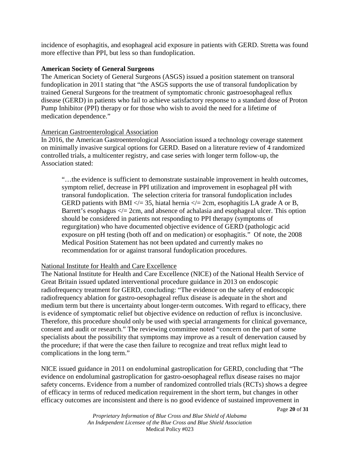incidence of esophagitis, and esophageal acid exposure in patients with GERD. Stretta was found more effective than PPI, but less so than fundoplication.

# **American Society of General Surgeons**

The American Society of General Surgeons (ASGS) issued a position statement on transoral fundoplication in 2011 stating that "the ASGS supports the use of transoral fundoplication by trained General Surgeons for the treatment of symptomatic chronic gastroesophageal reflux disease (GERD) in patients who fail to achieve satisfactory response to a standard dose of Proton Pump Inhibitor (PPI) therapy or for those who wish to avoid the need for a lifetime of medication dependence."

# American Gastroenterological Association

In 2016, the American Gastroenterological Association issued a technology coverage statement on minimally invasive surgical options for GERD. Based on a literature review of 4 randomized controlled trials, a multicenter registry, and case series with longer term follow-up, the Association stated:

"…the evidence is sufficient to demonstrate sustainable improvement in health outcomes, symptom relief, decrease in PPI utilization and improvement in esophageal pH with transoral fundoplication. The selection criteria for transoral fundoplication includes GERD patients with BMI  $\ll$  = 35, hiatal hernia  $\ll$  = 2cm, esophagitis LA grade A or B, Barrett's esophagus  $\leq$  2cm, and absence of achalasia and esophageal ulcer. This option should be considered in patients not responding to PPI therapy (symptoms of regurgitation) who have documented objective evidence of GERD (pathologic acid exposure on pH testing (both off and on medication) or esophagitis." Of note, the 2008 Medical Position Statement has not been updated and currently makes no recommendation for or against transoral fundoplication procedures.

# National Institute for Health and Care Excellence

The National Institute for Health and Care Excellence (NICE) of the National Health Service of Great Britain issued updated interventional procedure guidance in 2013 on endoscopic radiofrequency treatment for GERD, concluding: "The evidence on the safety of endoscopic radiofrequency ablation for gastro-oesophageal reflux disease is adequate in the short and medium term but there is uncertainty about longer-term outcomes. With regard to efficacy, there is evidence of symptomatic relief but objective evidence on reduction of reflux is inconclusive. Therefore, this procedure should only be used with special arrangements for clinical governance, consent and audit or research." The reviewing committee noted "concern on the part of some specialists about the possibility that symptoms may improve as a result of denervation caused by the procedure; if that were the case then failure to recognize and treat reflux might lead to complications in the long term."

NICE issued guidance in 2011 on endoluminal gastroplication for GERD, concluding that "The evidence on endoluminal gastroplication for gastro-oesophageal reflux disease raises no major safety concerns. Evidence from a number of randomized controlled trials (RCTs) shows a degree of efficacy in terms of reduced medication requirement in the short term, but changes in other efficacy outcomes are inconsistent and there is no good evidence of sustained improvement in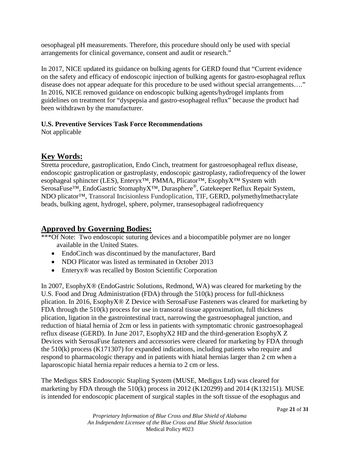oesophageal pH measurements. Therefore, this procedure should only be used with special arrangements for clinical governance, consent and audit or research."

In 2017, NICE updated its guidance on bulking agents for GERD found that "Current evidence on the safety and efficacy of endoscopic injection of bulking agents for gastro-esophageal reflux disease does not appear adequate for this procedure to be used without special arrangements…." In 2016, NICE removed guidance on endoscopic bulking agents/hydrogel implants from guidelines on treatment for "dyspepsia and gastro-esophageal reflux" because the product had been withdrawn by the manufacturer.

# **U.S. Preventive Services Task Force Recommendations**

Not applicable

# **Key Words:**

Stretta procedure, gastroplication, Endo Cinch, treatment for gastroesophageal reflux disease, endoscopic gastroplication or gastroplasty, endoscopic gastroplasty, radiofrequency of the lower esophageal sphincter (LES), Enteryx<sup>™</sup>, PMMA, Plicator™, EsophyX™ System with SerosaFuse™, EndoGastric StomaphyX™, Durasphere®, Gatekeeper Reflux Repair System, NDO plicator™, Transoral Incisionless Fundoplication, TIF, GERD, polymethylmethacrylate beads, bulking agent, hydrogel, sphere, polymer, transesophageal radiofrequency

# **Approved by Governing Bodies:**

\*\*\*Of Note: Two endoscopic suturing devices and a biocompatible polymer are no longer available in the United States.

- EndoCinch was discontinued by the manufacturer, Bard
- NDO Plicator was listed as terminated in October 2013
- Enteryx<sup>®</sup> was recalled by Boston Scientific Corporation

In 2007, EsophyX® (EndoGastric Solutions, Redmond, WA) was cleared for marketing by the U.S. Food and Drug Administration (FDA) through the 510(k) process for full-thickness plication. In 2016, EsophyX® Z Device with SerosaFuse Fasteners was cleared for marketing by FDA through the 510(k) process for use in transoral tissue approximation, full thickness plication, ligation in the gastrointestinal tract, narrowing the gastroesophageal junction, and reduction of hiatal hernia of 2cm or less in patients with symptomatic chronic gastroesophageal reflux disease (GERD). In June 2017, EsophyX2 HD and the third-generation EsophyX Z Devices with SerosaFuse fasteners and accessories were cleared for marketing by FDA through the 510(k) process (K171307) for expanded indications, including patients who require and respond to pharmacologic therapy and in patients with hiatal hernias larger than 2 cm when a laparoscopic hiatal hernia repair reduces a hernia to 2 cm or less.

The Medigus SRS Endoscopic Stapling System (MUSE, Medigus Ltd) was cleared for marketing by FDA through the 510(k) process in 2012 (K120299) and 2014 (K132151). MUSE is intended for endoscopic placement of surgical staples in the soft tissue of the esophagus and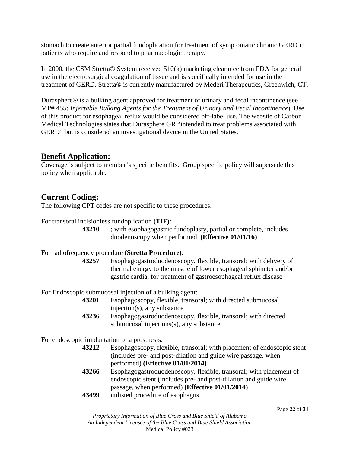stomach to create anterior partial fundoplication for treatment of symptomatic chronic GERD in patients who require and respond to pharmacologic therapy.

In 2000, the CSM Stretta® System received 510(k) marketing clearance from FDA for general use in the electrosurgical coagulation of tissue and is specifically intended for use in the treatment of GERD. Stretta® is currently manufactured by Mederi Therapeutics, Greenwich, CT.

Durasphere® is a bulking agent approved for treatment of urinary and fecal incontinence (see MP# 455: *Injectable Bulking Agents for the Treatment of Urinary and Fecal Incontinence*). Use of this product for esophageal reflux would be considered off-label use. The website of Carbon Medical Technologies states that Durasphere GR "intended to treat problems associated with GERD" but is considered an investigational device in the United States.

# **Benefit Application:**

Coverage is subject to member's specific benefits. Group specific policy will supersede this policy when applicable.

# **Current Coding:**

The following CPT codes are not specific to these procedures.

For transoral incisionless fundoplication **(TIF)**:

**43210** ; with esophagogastric fundoplasty, partial or complete, includes duodenoscopy when performed. **(Effective 01/01/16)**

# For radiofrequency procedure **(Stretta Procedure)**:

**43257** Esophagogastroduodenoscopy, flexible, transoral; with delivery of thermal energy to the muscle of lower esophageal sphincter and/or gastric cardia, for treatment of gastroesophageal reflux disease

For Endoscopic submucosal injection of a bulking agent:

- **43201** Esophagoscopy, flexible, transoral; with directed submucosal injection(s), any substance
- **43236** Esophagogastroduodenoscopy, flexible, transoral; with directed submucosal injections(s), any substance

For endoscopic implantation of a prosthesis:

- **43212** Esophagoscopy, flexible, transoral; with placement of endoscopic stent (includes pre- and post-dilation and guide wire passage, when performed) **(Effective 01/01/2014)**
- **43266** Esophagogastroduodenoscopy, flexible, transoral; with placement of endoscopic stent (includes pre- and post-dilation and guide wire passage, when performed) **(Effective 01/01/2014)**
- **43499** unlisted procedure of esophagus.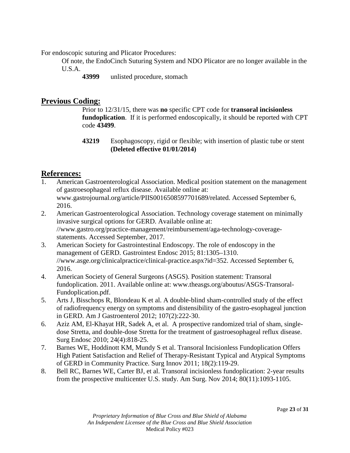For endoscopic suturing and Plicator Procedures:

Of note, the EndoCinch Suturing System and NDO Plicator are no longer available in the U.S.A.

**43999** unlisted procedure, stomach

# **Previous Coding:**

Prior to 12/31/15, there was **no** specific CPT code for **transoral incisionless fundoplication**. If it is performed endoscopically, it should be reported with CPT code **43499**.

**43219** Esophagoscopy, rigid or flexible; with insertion of plastic tube or stent **(Deleted effective 01/01/2014)**

# **References:**

- 1. American Gastroenterological Association. Medical position statement on the management of gastroesophageal reflux disease. Available online at: www.gastrojournal.org/article/PIIS0016508597701689/related. Accessed September 6, 2016.
- 2. American Gastroenterological Association. Technology coverage statement on minimally invasive surgical options for GERD. Available online at: //www.gastro.org/practice-management/reimbursement/aga-technology-coveragestatements. Accessed September, 2017.
- 3. American Society for Gastrointestinal Endoscopy. The role of endoscopy in the management of GERD. Gastrointest Endosc 2015; 81:1305–1310. //www.asge.org/clinicalpractice/clinical-practice.aspx?id=352. Accessed September 6, 2016.
- 4. American Society of General Surgeons (ASGS). Position statement: Transoral fundoplication. 2011. Available online at: www.theasgs.org/aboutus/ASGS-Transoral-Fundoplication.pdf.
- 5. Arts J, Bisschops R, Blondeau K et al. A double-blind sham-controlled study of the effect of radiofrequency energy on symptoms and distensibility of the gastro-esophageal junction in GERD. Am J Gastroenterol 2012; 107(2):222-30.
- 6. Aziz AM, El-Khayat HR, Sadek A, et al. A prospective randomized trial of sham, singledose Stretta, and double-dose Stretta for the treatment of gastroesophageal reflux disease. Surg Endosc 2010; 24(4):818-25.
- 7. Barnes WE, Hoddinott KM, Mundy S et al. Transoral Incisionless Fundoplication Offers High Patient Satisfaction and Relief of Therapy-Resistant Typical and Atypical Symptoms of GERD in Community Practice. Surg Innov 2011; 18(2):119-29.
- 8. Bell RC, Barnes WE, Carter BJ, et al. Transoral incisionless fundoplication: 2-year results from the prospective multicenter U.S. study. Am Surg. Nov 2014; 80(11):1093-1105.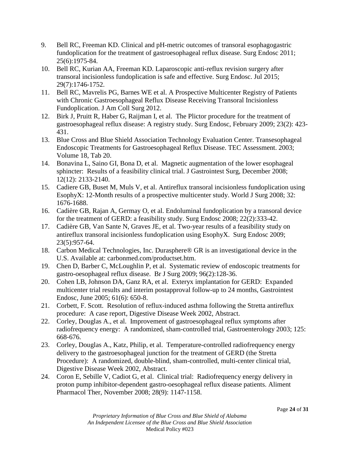- 9. Bell RC, Freeman KD. Clinical and pH-metric outcomes of transoral esophagogastric fundoplication for the treatment of gastroesophageal reflux disease. Surg Endosc 2011; 25(6):1975-84.
- 10. Bell RC, Kurian AA, Freeman KD. Laparoscopic anti-reflux revision surgery after transoral incisionless fundoplication is safe and effective. Surg Endosc. Jul 2015; 29(7):1746-1752.
- 11. Bell RC, Mavrelis PG, Barnes WE et al. A Prospective Multicenter Registry of Patients with Chronic Gastroesophageal Reflux Disease Receiving Transoral Incisionless Fundoplication. J Am Coll Surg 2012.
- 12. Birk J, Pruitt R, Haber G, Raijman I, et al. The Plictor procedure for the treatment of gastroesophageal reflux disease: A registry study. Surg Endosc, February 2009; 23(2): 423- 431.
- 13. Blue Cross and Blue Shield Association Technology Evaluation Center. Transesophageal Endoscopic Treatments for Gastroesophageal Reflux Disease. TEC Assessment. 2003; Volume 18, Tab 20.
- 14. Bonavina L, Saino GI, Bona D, et al. Magnetic augmentation of the lower esophageal sphincter: Results of a feasibility clinical trial. J Gastrointest Surg, December 2008; 12(12): 2133-2140.
- 15. Cadiere GB, Buset M, Muls V, et al. Antireflux transoral incisionless fundoplication using EsophyX: 12-Month results of a prospective multicenter study. World J Surg 2008; 32: 1676-1688.
- 16. Cadière GB, Rajan A, Germay O, et al. Endoluminal fundoplication by a transoral device for the treatment of GERD: a feasibility study. Surg Endosc 2008; 22(2):333-42.
- 17. Cadière GB, Van Sante N, Graves JE, et al. Two-year results of a feasibility study on antireflux transoral incisionless fundoplication using EsophyX. Surg Endosc 2009; 23(5):957-64.
- 18. Carbon Medical Technologies, Inc. Durasphere® GR is an investigational device in the U.S. Available at: carbonmed.com/productset.htm.
- 19. Chen D, Barber C, McLoughlin P, et al. Systematic review of endoscopic treatments for gastro-oesophageal reflux disease. Br J Surg 2009; 96(2):128-36.
- 20. Cohen LB, Johnson DA, Ganz RA, et al. Exteryx implantation for GERD: Expanded multicenter trial results and interim postapproval follow-up to 24 months, Gastrointest Endosc, June 2005; 61(6): 650-8.
- 21. Corbett, F. Scott. Resolution of reflux-induced asthma following the Stretta antireflux procedure: A case report, Digestive Disease Week 2002, Abstract.
- 22. Corley, Douglas A., et al. Improvement of gastroesophageal reflux symptoms after radiofrequency energy: A randomized, sham-controlled trial, Gastroenterology 2003; 125: 668-676.
- 23. Corley, Douglas A., Katz, Philip, et al. Temperature-controlled radiofrequency energy delivery to the gastroesophageal junction for the treatment of GERD (the Stretta Procedure): A randomized, double-blind, sham-controlled, multi-center clinical trial, Digestive Disease Week 2002, Abstract.
- 24. Coron E, Sebille V, Cadiot G, et al. Clinical trial: Radiofrequency energy delivery in proton pump inhibitor-dependent gastro-oesophageal reflux disease patients. Aliment Pharmacol Ther, November 2008; 28(9): 1147-1158.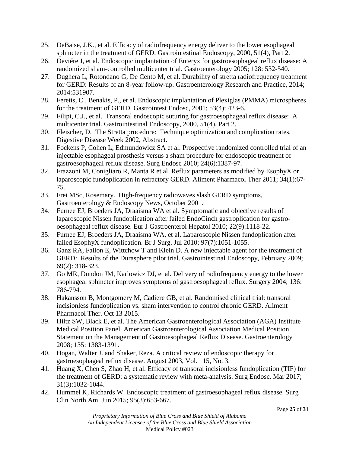- 25. DeBaise, J.K., et al. Efficacy of radiofrequency energy deliver to the lower esophageal sphincter in the treatment of GERD. Gastrointestinal Endoscopy, 2000, 51(4), Part 2.
- 26. Deviére J, et al. Endoscopic implantation of Enteryx for gastroesophageal reflux disease: A randomized sham-controlled multicenter trial. Gastroenterology 2005; 128: 532-540.
- 27. Dughera L, Rotondano G, De Cento M, et al. Durability of stretta radiofrequency treatment for GERD: Results of an 8-year follow-up. Gastroenterology Research and Practice, 2014; 2014:531907.
- 28. Feretis, C., Benakis, P., et al. Endoscopic implantation of Plexiglas (PMMA) microspheres for the treatment of GERD. Gastrointest Endosc, 2001; 53(4): 423-6.
- 29. Filipi, C.J., et al. Transoral endoscopic suturing for gastroesophageal reflux disease: A multicenter trial. Gastrointestinal Endoscopy, 2000, 51(4), Part 2.
- 30. Fleischer, D. The Stretta procedure: Technique optimization and complication rates. Digestive Disease Week 2002, Abstract.
- 31. Fockens P, Cohen L, Edmundowicz SA et al. Prospective randomized controlled trial of an injectable esophageal prosthesis versus a sham procedure for endoscopic treatment of gastroesophageal reflux disease. Surg Endosc 2010; 24(6):1387-97.
- 32. Frazzoni M, Conigliaro R, Manta R et al. Reflux parameters as modified by EsophyX or laparoscopic fundoplication in refractory GERD. Aliment Pharmacol Ther 2011; 34(1):67- 75.
- 33. Frei MSc, Rosemary. High-frequency radiowaves slash GERD symptoms, Gastroenterology & Endoscopy News, October 2001.
- 34. Furnee EJ, Broeders JA, Draaisma WA et al. Symptomatic and objective results of laparoscopic Nissen fundoplication after failed EndoCinch gastroplication for gastrooesophageal reflux disease. Eur J Gastroenterol Hepatol 2010; 22(9):1118-22.
- 35. Furnee EJ, Broeders JA, Draaisma WA, et al. Laparoscopic Nissen fundoplication after failed EsophyX fundoplication. Br J Surg. Jul 2010; 97(7):1051-1055.
- 36. Ganz RA, Fallon E, Wittchow T and Klein D. A new injectable agent for the treatment of GERD: Results of the Durasphere pilot trial. Gastrointestinal Endoscopy, February 2009; 69(2): 318-323.
- 37. Go MR, Dundon JM, Karlowicz DJ, et al. Delivery of radiofrequency energy to the lower esophageal sphincter improves symptoms of gastroesophageal reflux. Surgery 2004; 136: 786-794.
- 38. Hakansson B, Montgomery M, Cadiere GB, et al. Randomised clinical trial: transoral incisionless fundoplication vs. sham intervention to control chronic GERD. Aliment Pharmacol Ther. Oct 13 2015.
- 39. Hiltz SW, Black E, et al. The American Gastroenterological Association (AGA) Institute Medical Position Panel. American Gastroenterological Association Medical Position Statement on the Management of Gastroesophageal Reflux Disease. Gastroenterology 2008; 135: 1383-1391.
- 40. Hogan, Walter J. and Shaker, Reza. A critical review of endoscopic therapy for gastroesophageal reflux disease. August 2003, Vol. 115, No. 3.
- 41. Huang X, Chen S, Zhao H, et al. Efficacy of transoral incisionless fundoplication (TIF) for the treatment of GERD: a systematic review with meta-analysis. Surg Endosc. Mar 2017; 31(3):1032-1044.
- 42. Hummel K, Richards W. Endoscopic treatment of gastroesophageal reflux disease. Surg Clin North Am. Jun 2015; 95(3):653-667.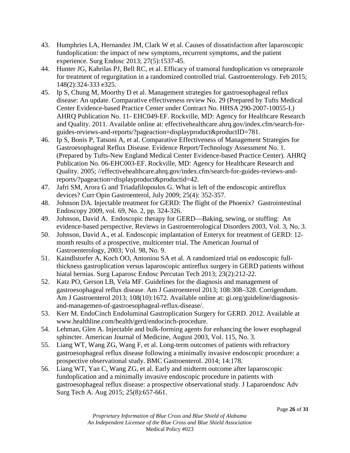- 43. Humphries LA, Hernandez JM, Clark W et al. Causes of dissatisfaction after laparoscopic fundoplication: the impact of new symptoms, recurrent symptoms, and the patient experience. Surg Endosc 2013; 27(5):1537-45.
- 44. Hunter JG, Kahrilas PJ, Bell RC, et al. Efficacy of transoral fundoplication vs omeprazole for treatment of regurgitation in a randomized controlled trial. Gastroenterology. Feb 2015; 148(2):324-333 e325.
- 45. Ip S, Chung M, Moorthy D et al. Management strategies for gastroesophageal reflux disease: An update. Comparative effectiveness review No. 29 (Prepared by Tufts Medical Center Evidence-based Practice Center under Contract No. HHSA 290-2007-10055-I.) AHRQ Publication No. 11- EHC049-EF. Rockville, MD: Agency for Healthcare Research and Quality. 2011. Available online at: effectivehealthcare.ahrq.gov/index.cfm/search-forguides-reviews-and-reports/?pageaction=displayproduct&productID=781.
- 46. Ip S, Bonis P, Tatsoni A, et al. Comparative Effectiveness of Management Strategies for Gastroesophageal Reflux Disease. Evidence Report/Technology Assessment No. 1. (Prepared by Tufts-New England Medical Center Evidence-based Practice Center). AHRQ Publication No. 06-EHC003-EF. Rockville, MD: Agency for Healthcare Research and Quality. 2005; //effectivehealthcare.ahrq.gov/index.cfm/search-for-guides-reviews-andreports/?pageaction=displayproduct&productid=42.
- 47. Jafri SM, Arora G and Triadafilopoulos G. What is left of the endoscopic antireflux devices? Curr Opin Gastroenterol, July 2009; 25(4): 352-357.
- 48. Johnson DA. Injectable treatment for GERD: The flight of the Phoenix? Gastrointestinal Endoscopy 2009, vol. 69, No. 2, pp. 324-326.
- 49. Johnson, David A. Endoscopic therapy for GERD—Baking, sewing, or stuffing: An evidence-based perspective. Reviews in Gastroenterological Disorders 2003, Vol. 3, No. 3.
- 50. Johnson, David A., et al. Endoscopic implantation of Enteryx for treatment of GERD: 12 month results of a prospective, multicenter trial. The American Journal of Gastroenterology, 2003; Vol. 98, No. 9.
- 51. Kaindlstorfer A, Koch OO, Antoniou SA et al. A randomized trial on endoscopic fullthickness gastroplication versus laparoscopic antireflux surgery in GERD patients without hiatal hernias. Surg Laparosc Endosc Percutan Tech 2013; 23(2):212-22.
- 52. Katz PO, Gerson LB, Vela MF. Guidelines for the diagnosis and management of gastroesophageal reflux disease. Am J Gastroenterol 2013; 108:308–328. Corrigendum. Am J Gastroenterol 2013; 108(10):1672. Available online at: gi.org/guideline/diagnosisand-managemen-of-gastroesophageal-reflux-disease/.
- 53. Kerr M. EndoCinch Endoluminal Gastroplication Surgery for GERD. 2012. Available at www.healthline.com/health/gerd/endocinch-procedure.
- 54. Lehman, Glen A. Injectable and bulk-forming agents for enhancing the lower esophageal sphincter. American Journal of Medicine, August 2003, Vol. 115, No. 3.
- 55. Liang WT, Wang ZG, Wang F, et al. Long-term outcomes of patients with refractory gastroesophageal reflux disease following a minimally invasive endoscopic procedure: a prospective observational study. BMC Gastroenterol. 2014; 14:178.
- 56. Liang WT, Yan C, Wang ZG, et al. Early and midterm outcome after laparoscopic fundoplication and a minimally invasive endoscopic procedure in patients with gastroesophageal reflux disease: a prospective observational study. J Laparoendosc Adv Surg Tech A. Aug 2015; 25(8):657-661.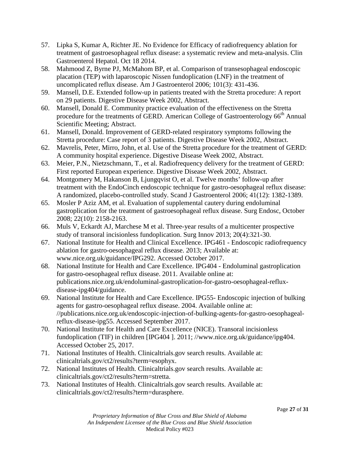- 57. Lipka S, Kumar A, Richter JE. No Evidence for Efficacy of radiofrequency ablation for treatment of gastroesophageal reflux disease: a systematic review and meta-analysis. Clin Gastroenterol Hepatol. Oct 18 2014.
- 58. Mahmood Z, Byrne PJ, McMahom BP, et al. Comparison of transesophageal endoscopic placation (TEP) with laparoscopic Nissen fundoplication (LNF) in the treatment of uncomplicated reflux disease. Am J Gastroenterol 2006; 101(3): 431-436.
- 59. Mansell, D.E. Extended follow-up in patients treated with the Stretta procedure: A report on 29 patients. Digestive Disease Week 2002, Abstract.
- 60. Mansell, Donald E. Community practice evaluation of the effectiveness on the Stretta procedure for the treatments of GERD. American College of Gastroenterology 66<sup>th</sup> Annual Scientific Meeting; Abstract.
- 61. Mansell, Donald. Improvement of GERD-related respiratory symptoms following the Stretta procedure: Case report of 3 patients. Digestive Disease Week 2002, Abstract.
- 62. Mavrelis, Peter, Mirro, John, et al. Use of the Stretta procedure for the treatment of GERD: A community hospital experience. Digestive Disease Week 2002, Abstract.
- 63. Meier, P.N., Nietzschmann, T., et al. Radiofrequency delivery for the treatment of GERD: First reported European experience. Digestive Disease Week 2002, Abstract.
- 64. Montgomery M, Hakanson B, Ljungqvist O, et al. Twelve months' follow-up after treatment with the EndoCinch endoscopic technique for gastro-oesophageal reflux disease: A randomized, placebo-controlled study. Scand J Gastroenterol 2006; 41(12): 1382-1389.
- 65. Mosler P Aziz AM, et al. Evaluation of supplemental cautery during endoluminal gastroplication for the treatment of gastroesophageal reflux disease. Surg Endosc, October 2008; 22(10): 2158-2163.
- 66. Muls V, Eckardt AJ, Marchese M et al. Three-year results of a multicenter prospective study of transoral incisionless fundoplication. Surg Innov 2013; 20(4):321-30.
- 67. National Institute for Health and Clinical Excellence. IPG461 Endoscopic radiofrequency ablation for gastro-oesophageal reflux disease. 2013; Available at: www.nice.org.uk/guidance/IPG292. Accessed October 2017.
- 68. National Institute for Health and Care Excellence. IPG404 Endoluminal gastroplication for gastro-oesophageal reflux disease. 2011. Available online at: publications.nice.org.uk/endoluminal-gastroplication-for-gastro-oesophageal-refluxdisease-ipg404/guidance.
- 69. National Institute for Health and Care Excellence. IPG55- Endoscopic injection of bulking agents for gastro-oesophageal reflux disease. 2004. Available online at: //publications.nice.org.uk/endoscopic-injection-of-bulking-agents-for-gastro-oesophagealreflux-disease-ipg55. Accessed September 2017.
- 70. National Institute for Health and Care Excellence (NICE). Transoral incisionless fundoplication (TIF) in children [IPG404 ]. 2011; /[/www.nice.org.uk/guidance/ipg404.](http://www.nice.org.uk/guidance/ipg404) Accessed October 25, 2017.
- 71. National Institutes of Health. Clinicaltrials.gov search results. Available at: clinicaltrials.gov/ct2/results?term=esophyx.
- 72. National Institutes of Health. Clinicaltrials.gov search results. Available at: [clinicaltrials.gov/ct2/results?term=stretta.](http://clinicaltrials.gov/ct2/results?term=stretta)
- 73. National Institutes of Health. Clinicaltrials.gov search results. Available at: clinicaltrials.gov/ct2/results?term=durasphere.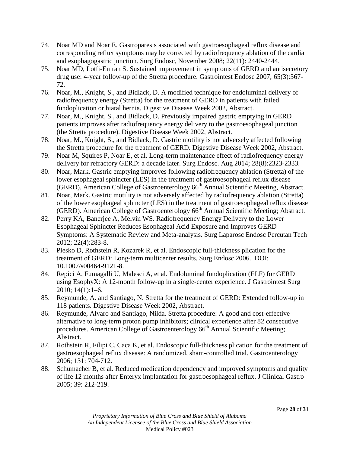- 74. Noar MD and Noar E. Gastroparesis associated with gastroesophageal reflux disease and corresponding reflux symptoms may be corrected by radiofrequency ablation of the cardia and esophagogastric junction. Surg Endosc, November 2008; 22(11): 2440-2444.
- 75. Noar MD, Lotfi-Emran S. Sustained improvement in symptoms of GERD and antisecretory drug use: 4-year follow-up of the Stretta procedure. Gastrointest Endosc 2007; 65(3):367- 72.
- 76. Noar, M., Knight, S., and Bidlack, D. A modified technique for endoluminal delivery of radiofrequency energy (Stretta) for the treatment of GERD in patients with failed fundoplication or hiatal hernia. Digestive Disease Week 2002, Abstract.
- 77. Noar, M., Knight, S., and Bidlack, D. Previously impaired gastric emptying in GERD patients improves after radiofrequency energy delivery to the gastroesophageal junction (the Stretta procedure). Digestive Disease Week 2002, Abstract.
- 78. Noar, M., Knight, S., and Bidlack, D. Gastric motility is not adversely affected following the Stretta procedure for the treatment of GERD. Digestive Disease Week 2002, Abstract.
- 79. Noar M, Squires P, Noar E, et al. Long-term maintenance effect of radiofrequency energy delivery for refractory GERD: a decade later. Surg Endosc. Aug 2014; 28(8):2323-2333.
- 80. Noar, Mark. Gastric emptying improves following radiofrequency ablation (Stretta) of the lower esophageal sphincter (LES) in the treatment of gastroesophageal reflux disease (GERD). American College of Gastroenterology 66<sup>th</sup> Annual Scientific Meeting, Abstract.
- 81. Noar, Mark. Gastric motility is not adversely affected by radiofrequency ablation (Stretta) of the lower esophageal sphincter (LES) in the treatment of gastroesophageal reflux disease (GERD). American College of Gastroenterology  $66<sup>th</sup>$  Annual Scientific Meeting; Abstract.
- 82. Perry KA, Banerjee A, Melvin WS. Radiofrequency Energy Delivery to the Lower Esophageal Sphincter Reduces Esophageal Acid Exposure and Improves GERD Symptoms: A Systematic Review and Meta-analysis. Surg Laparosc Endosc Percutan Tech 2012; 22(4):283-8.
- 83. Plesko D, Rothstein R, Kozarek R, et al. Endoscopic full-thickness plication for the treatment of GERD: Long-term multicenter results. Surg Endosc 2006. DOI: 10.1007/s00464-9121-8.
- 84. Repici A, Fumagalli U, Malesci A, et al. Endoluminal fundoplication (ELF) for GERD using EsophyX: A 12-month follow-up in a single-center experience. J Gastrointest Surg 2010; 14(1):1–6.
- 85. Reymunde, A. and Santiago, N. Stretta for the treatment of GERD: Extended follow-up in 118 patients. Digestive Disease Week 2002, Abstract.
- 86. Reymunde, Alvaro and Santiago, Nilda. Stretta procedure: A good and cost-effective alternative to long-term proton pump inhibitors; clinical experience after 82 consecutive procedures. American College of Gastroenterology  $66<sup>th</sup>$  Annual Scientific Meeting; Abstract.
- 87. Rothstein R, Filipi C, Caca K, et al. Endoscopic full-thickness plication for the treatment of gastroesophageal reflux disease: A randomized, sham-controlled trial. Gastroenterology 2006; 131: 704-712.
- 88. Schumacher B, et al. Reduced medication dependency and improved symptoms and quality of life 12 months after Enteryx implantation for gastroesophageal reflux. J Clinical Gastro 2005; 39: 212-219.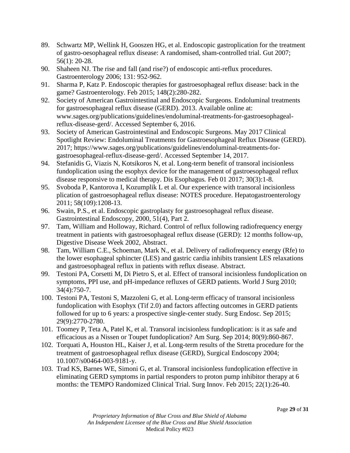- 89. Schwartz MP, Wellink H, Gooszen HG, et al. Endoscopic gastroplication for the treatment of gastro-oesophageal reflux disease: A randomised, sham-controlled trial. Gut 2007; 56(1): 20-28.
- 90. Shaheen NJ. The rise and fall (and rise?) of endoscopic anti-reflux procedures. Gastroenterology 2006; 131: 952-962.
- 91. Sharma P, Katz P. Endoscopic therapies for gastroesophageal reflux disease: back in the game? Gastroenterology. Feb 2015; 148(2):280-282.
- 92. Society of American Gastrointestinal and Endoscopic Surgeons. Endoluminal treatments for gastroesophageal reflux disease (GERD). 2013. Available online at: www.sages.org/publications/guidelines/endoluminal-treatments-for-gastroesophagealreflux-disease-gerd/. Accessed September 6, 2016.
- 93. Society of American Gastrointestinal and Endoscopic Surgeons. May 2017 Clinical Spotlight Review: Endoluminal Treatments for Gastroesophageal Reflux Disease (GERD). 2017; https:/[/www.sages.org/publications/guidelines/endoluminal-treatments-for](http://www.sages.org/publications/guidelines/endoluminal-treatments-for-gastroesophageal-reflux-disease-gerd/)[gastroesophageal-reflux-disease-gerd/.](http://www.sages.org/publications/guidelines/endoluminal-treatments-for-gastroesophageal-reflux-disease-gerd/) Accessed September 14, 2017.
- 94. Stefanidis G, Viazis N, Kotsikoros N, et al. Long-term benefit of transoral incisionless fundoplication using the esophyx device for the management of gastroesophageal reflux disease responsive to medical therapy. Dis Esophagus*.* Feb 01 2017; 30(3):1-8.
- 95. Svoboda P, Kantorova I, Kozumplik L et al. Our experience with transoral incisionless plication of gastroesophageal reflux disease: NOTES procedure. Hepatogastroenterology 2011; 58(109):1208-13.
- 96. Swain, P.S., et al. Endoscopic gastroplasty for gastroesophageal reflux disease. Gastrointestinal Endoscopy, 2000, 51(4), Part 2.
- 97. Tam, William and Holloway, Richard. Control of reflux following radiofrequency energy treatment in patients with gastroesophageal reflux disease (GERD): 12 months follow-up, Digestive Disease Week 2002, Abstract.
- 98. Tam, William C.E., Schoeman, Mark N., et al. Delivery of radiofrequency energy (Rfe) to the lower esophageal sphincter (LES) and gastric cardia inhibits transient LES relaxations and gastroesophageal reflux in patients with reflux disease. Abstract.
- 99. Testoni PA, Corsetti M, Di Pietro S, et al. Effect of transoral incisionless fundoplication on symptoms, PPI use, and pH-impedance refluxes of GERD patients. World J Surg 2010; 34(4):750-7.
- 100. Testoni PA, Testoni S, Mazzoleni G, et al. Long-term efficacy of transoral incisionless fundoplication with Esophyx (Tif 2.0) and factors affecting outcomes in GERD patients followed for up to 6 years: a prospective single-center study. Surg Endosc. Sep 2015; 29(9):2770-2780.
- 101. Toomey P, Teta A, Patel K, et al. Transoral incisionless fundoplication: is it as safe and efficacious as a Nissen or Toupet fundoplication? Am Surg. Sep 2014; 80(9):860-867.
- 102. Torquati A, Houston HL, Kaiser J, et al. Long-term results of the Stretta procedure for the treatment of gastroesophageal reflux disease (GERD), Surgical Endoscopy 2004; 10.1007/s00464-003-9181-y.
- 103. Trad KS, Barnes WE, Simoni G, et al. Transoral incisionless fundoplication effective in eliminating GERD symptoms in partial responders to proton pump inhibitor therapy at 6 months: the TEMPO Randomized Clinical Trial. Surg Innov. Feb 2015; 22(1):26-40.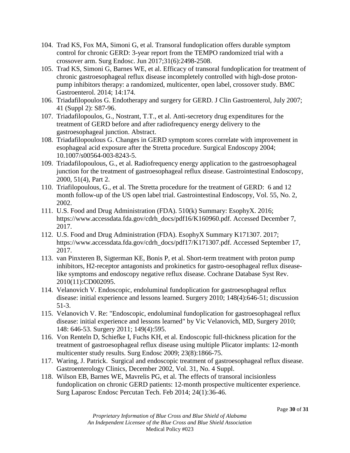- 104. Trad KS, Fox MA, Simoni G, et al. Transoral fundoplication offers durable symptom control for chronic GERD: 3-year report from the TEMPO randomized trial with a crossover arm. Surg Endosc. Jun 2017;31(6):2498-2508.
- 105. Trad KS, Simoni G, Barnes WE, et al. Efficacy of transoral fundoplication for treatment of chronic gastroesophageal reflux disease incompletely controlled with high-dose protonpump inhibitors therapy: a randomized, multicenter, open label, crossover study. BMC Gastroenterol. 2014; 14:174.
- 106. Triadafilopoulos G. Endotherapy and surgery for GERD. J Clin Gastroenterol, July 2007; 41 (Suppl 2): S87-96.
- 107. Triadafilopoulos, G., Nostrant, T.T., et al. Anti-secretory drug expenditures for the treatment of GERD before and after radiofrequency energy delivery to the gastroesophageal junction. Abstract.
- 108. Triadafilopoulous G. Changes in GERD symptom scores correlate with improvement in esophageal acid exposure after the Stretta procedure. Surgical Endoscopy 2004; 10.1007/s00564-003-8243-5.
- 109. Triadafilopoulous, G., et al. Radiofrequency energy application to the gastroesophageal junction for the treatment of gastroesophageal reflux disease. Gastrointestinal Endoscopy, 2000, 51(4), Part 2.
- 110. Triafilopoulous, G., et al. The Stretta procedure for the treatment of GERD: 6 and 12 month follow-up of the US open label trial. Gastrointestinal Endoscopy, Vol. 55, No. 2, 2002.
- 111. U.S. Food and Drug Administration (FDA). 510(k) Summary: EsophyX. 2016; https:/[/www.accessdata.fda.gov/cdrh\\_docs/pdf16/K160960.pdf.](http://www.accessdata.fda.gov/cdrh_docs/pdf16/K160960.pdf) Accessed December 7, 2017.
- 112. U.S. Food and Drug Administration (FDA). EsophyX Summary K171307. 2017; https:/[/www.accessdata.fda.gov/cdrh\\_docs/pdf17/K171307.pdf.](http://www.accessdata.fda.gov/cdrh_docs/pdf17/K171307.pdf) Accessed September 17, 2017.
- 113. van Pinxteren B, Sigterman KE, Bonis P, et al. Short-term treatment with proton pump inhibitors, H2-receptor antagonists and prokinetics for gastro-oesophageal reflux diseaselike symptoms and endoscopy negative reflux disease. Cochrane Database Syst Rev. 2010(11):CD002095.
- 114. Velanovich V. Endoscopic, endoluminal fundoplication for gastroesophageal reflux disease: initial experience and lessons learned. Surgery 2010; 148(4):646-51; discussion 51-3.
- 115. Velanovich V. Re: "Endoscopic, endoluminal fundoplication for gastroesophageal reflux disease: initial experience and lessons learned" by Vic Velanovich, MD, Surgery 2010; 148: 646-53. Surgery 2011; 149(4):595.
- 116. Von Renteln D, Schiefke I, Fuchs KH, et al. Endoscopic full-thickness plication for the treatment of gastroesophageal reflux disease using multiple Plicator implants: 12-month multicenter study results. Surg Endosc 2009; 23(8):1866-75.
- 117. Waring, J. Patrick. Surgical and endoscopic treatment of gastroesophageal reflux disease. Gastroenterology Clinics, December 2002, Vol. 31, No. 4 Suppl.
- 118. Wilson EB, Barnes WE, Mavrelis PG, et al. The effects of transoral incisionless fundoplication on chronic GERD patients: 12-month prospective multicenter experience. Surg Laparosc Endosc Percutan Tech. Feb 2014; 24(1):36-46.